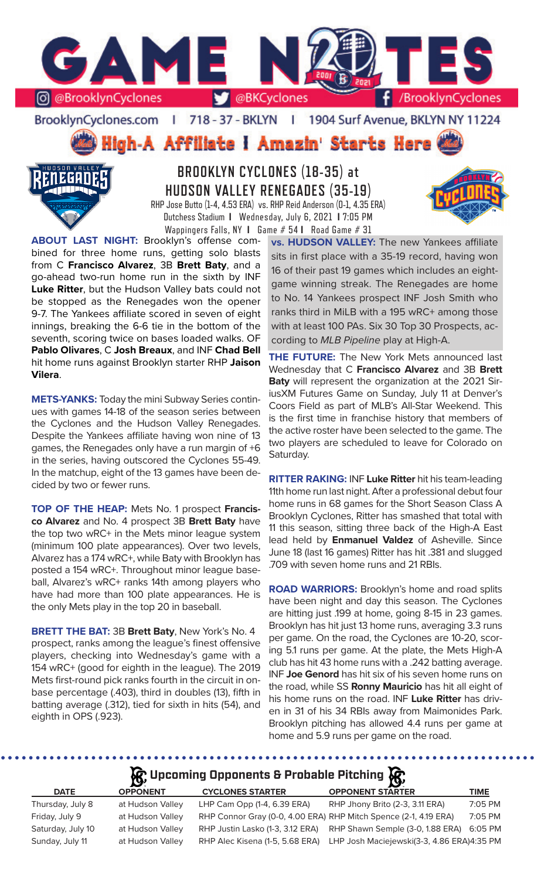

BrooklynCyclones.com | 718 - 37 - BKLYN - 11 1904 Surf Avenue, BKLYN NY 11224

High-A Affiliate I Amazin' Starts Here



# **BROOKLYN CYCLONES (18-35) at HUDSON VALLEY RENEGADES (35-19)** RHP Jose Butto (1-4, 4.53 ERA) vs. RHP Reid Anderson (0-1, 4.35 ERA) Dutchess Stadium **I** Wednesday, July 6, 2021 **I** 7:05 PM

Wappingers Falls, NY **I** Game # 54 **I** Road Game # 31

**ABOUT LAST NIGHT:** Brooklyn's offense combined for three home runs, getting solo blasts from C **Francisco Alvarez**, 3B **Brett Baty**, and a go-ahead two-run home run in the sixth by INF **Luke Ritter**, but the Hudson Valley bats could not be stopped as the Renegades won the opener 9-7. The Yankees affiliate scored in seven of eight innings, breaking the 6-6 tie in the bottom of the seventh, scoring twice on bases loaded walks. OF **Pablo Olivares**, C **Josh Breaux**, and INF **Chad Bell**  hit home runs against Brooklyn starter RHP **Jaison Vilera**.

**METS-YANKS:** Today the mini Subway Series continues with games 14-18 of the season series between the Cyclones and the Hudson Valley Renegades. Despite the Yankees affiliate having won nine of 13 games, the Renegades only have a run margin of +6 in the series, having outscored the Cyclones 55-49. In the matchup, eight of the 13 games have been decided by two or fewer runs.

**TOP OF THE HEAP:** Mets No. 1 prospect **Francisco Alvarez** and No. 4 prospect 3B **Brett Baty** have the top two wRC+ in the Mets minor league system (minimum 100 plate appearances). Over two levels, Alvarez has a 174 wRC+, while Baty with Brooklyn has posted a 154 wRC+. Throughout minor league baseball, Alvarez's wRC+ ranks 14th among players who have had more than 100 plate appearances. He is the only Mets play in the top 20 in baseball.

**BRETT THE BAT:** 3B **Brett Baty**, New York's No. 4 prospect, ranks among the league's finest offensive players, checking into Wednesday's game with a 154 wRC+ (good for eighth in the league). The 2019 Mets first-round pick ranks fourth in the circuit in onbase percentage (.403), third in doubles (13), fifth in batting average (.312), tied for sixth in hits (54), and eighth in OPS (.923).

**vs. HUDSON VALLEY:** The new Yankees affiliate sits in first place with a 35-19 record, having won 16 of their past 19 games which includes an eightgame winning streak. The Renegades are home to No. 14 Yankees prospect INF Josh Smith who ranks third in MiLB with a 195 wRC+ among those with at least 100 PAs. Six 30 Top 30 Prospects, according to *MLB Pipeline* play at High-A.

**THE FUTURE:** The New York Mets announced last Wednesday that C **Francisco Alvarez** and 3B **Brett Baty** will represent the organization at the 2021 SiriusXM Futures Game on Sunday, July 11 at Denver's Coors Field as part of MLB's All-Star Weekend. This is the first time in franchise history that members of the active roster have been selected to the game. The two players are scheduled to leave for Colorado on Saturday.

**RITTER RAKING:** INF **Luke Ritter** hit his team-leading 11th home run last night. After a professional debut four home runs in 68 games for the Short Season Class A Brooklyn Cyclones, Ritter has smashed that total with 11 this season, sitting three back of the High-A East lead held by **Enmanuel Valdez** of Asheville. Since June 18 (last 16 games) Ritter has hit .381 and slugged .709 with seven home runs and 21 RBIs.

**ROAD WARRIORS:** Brooklyn's home and road splits have been night and day this season. The Cyclones are hitting just .199 at home, going 8-15 in 23 games. Brooklyn has hit just 13 home runs, averaging 3.3 runs per game. On the road, the Cyclones are 10-20, scoring 5.1 runs per game. At the plate, the Mets High-A club has hit 43 home runs with a .242 batting average. INF **Joe Genord** has hit six of his seven home runs on the road, while SS **Ronny Mauricio** has hit all eight of his home runs on the road. INF **Luke Ritter** has driven in 31 of his 34 RBIs away from Maimonides Park. Brooklyn pitching has allowed 4.4 runs per game at home and 5.9 runs per game on the road.

# **Upcoming Opponents & Probable Pitching**

| <b>DATE</b>       | <b>OPPONENT</b>  | <b>CYCLONES STARTER</b>                                          | <b>OPPONENT STARTER</b>                    | TIME    |
|-------------------|------------------|------------------------------------------------------------------|--------------------------------------------|---------|
| Thursday, July 8  | at Hudson Valley | LHP Cam Opp (1-4, 6.39 ERA)                                      | RHP Jhony Brito (2-3, 3.11 ERA)            | 7:05 PM |
| Friday, July 9    | at Hudson Valley | RHP Connor Gray (0-0, 4.00 ERA) RHP Mitch Spence (2-1, 4.19 ERA) |                                            | 7:05 PM |
| Saturday, July 10 | at Hudson Valley | RHP Justin Lasko (1-3, 3.12 ERA)                                 | RHP Shawn Semple (3-0, 1.88 ERA) 6:05 PM   |         |
| Sunday, July 11   | at Hudson Valley | RHP Alec Kisena (1-5, 5.68 ERA)                                  | LHP Josh Maciejewski(3-3, 4.86 ERA)4:35 PM |         |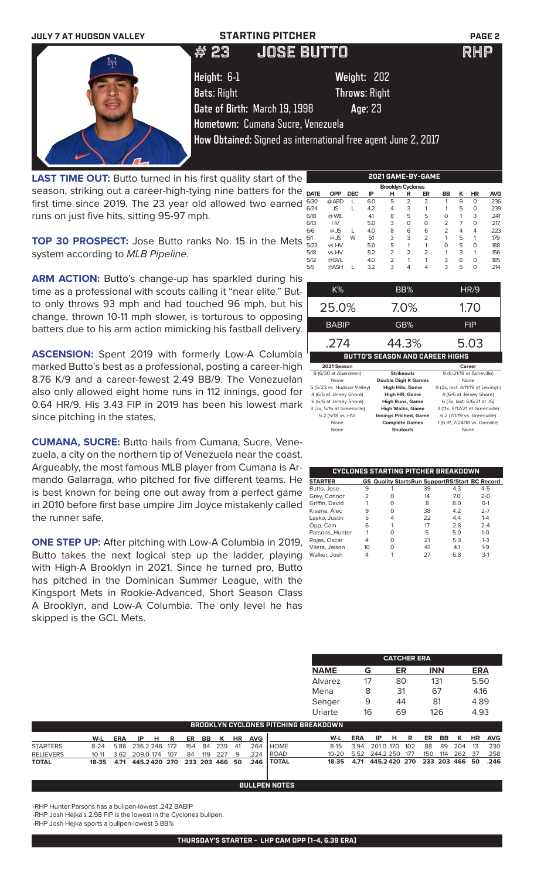

LAST TIME OUT: Butto turned in his first quality start of the season, striking out a career-high-tying nine batters for th first time since 2019. The 23 year old allowed two earne runs on just five hits, sitting 95-97 mph.

**TOP 30 PROSPECT:** Jose Butto ranks No. 15 in the Met system according to *MLB Pipeline*.

ARM ACTION: Butto's change-up has sparkled during his time as a professional with scouts calling it "near elite." Butto only throws 93 mph and had touched 96 mph, but his change, thrown 10-11 mph slower, is torturous to opposing batters due to his arm action mimicking his fastball delivery.

**ASCENSION:** Spent 2019 with formerly Low-A Columbia marked Butto's best as a professional, posting a career-high 8.76 K/9 and a career-fewest 2.49 BB/9. The Venezuelan also only allowed eight home runs in 112 innings, good for 0.64 HR/9. His 3.43 FIP in 2019 has been his lowest mark since pitching in the states.

**CUMANA, SUCRE:** Butto hails from Cumana, Sucre, Venezuela, a city on the northern tip of Venezuela near the coast. Argueably, the most famous MLB player from Cumana is Armando Galarraga, who pitched for five different teams. He is best known for being one out away from a perfect game in 2010 before first base umpire Jim Joyce mistakenly called the runner safe.

**ONE STEP UP:** After pitching with Low-A Columbia in 2019, Butto takes the next logical step up the ladder, playing with High-A Brooklyn in 2021. Since he turned pro, Butto has pitched in the Dominican Summer League, with the Kingsport Mets in Rookie-Advanced, Short Season Class A Brooklyn, and Low-A Columbia. The only level he has skipped is the GCL Mets.

| e  |             |            |            |     | , , , , , , , , , , , , , , , , , , , |                | -----          |                |   |           |            |
|----|-------------|------------|------------|-----|---------------------------------------|----------------|----------------|----------------|---|-----------|------------|
|    |             |            |            |     | <b>Brooklyn Cyclones</b>              |                |                |                |   |           |            |
| е  | <b>DATE</b> | <b>OPP</b> | <b>DEC</b> | IP  | н                                     | R              | ER             | <b>BB</b>      | ĸ | <b>HR</b> | <b>AVG</b> |
| d  | 6/30        | @ ABD      |            | 6.0 | 5                                     | $\overline{2}$ | $\overline{2}$ |                | 9 | $\Omega$  | .236       |
|    | 6/24        | <b>JS</b>  |            | 4.2 | 4                                     | 3              | 1              | 1              | 5 | 0         | .239       |
|    | 6/18        | @ WIL      |            | 41  | 8                                     | 5              | 5              | 0              | 1 | 3         | .241       |
|    | 6/13        | <b>HV</b>  |            | 5.0 | 3                                     | $\Omega$       | $\Omega$       | $\overline{2}$ | 7 | $\Omega$  | .217       |
|    | 6/6         | $@$ JS     |            | 4.0 | 8                                     | 6              | 6              | $\overline{2}$ | 4 | 4         | .223       |
| :S | 6/1         | $@$ JS     | W          | 5.1 | 3                                     | 3              | $\overline{2}$ | 1              | 5 | 1         | .179       |
|    | 5/23        | vs. HV     |            | 5.0 | 5                                     | 1              |                | $\Omega$       | 5 | $\Omega$  | .188       |
|    | 5/18        | vs. HV     |            | 5.2 | $\overline{2}$                        | $\overline{2}$ | $\overline{2}$ | 1              | 3 | 1         | .156       |
|    | 5/12        | @GVL       |            | 4.0 | $\overline{2}$                        | 1              | 1              | 3              | 6 | $\Omega$  | .185       |
|    | 5/5         | @ASH       |            | 3.2 | 3                                     | 4              | 4              | 3              | 5 | 0         | .214       |
|    |             |            |            |     |                                       |                |                |                |   |           |            |

**2021 GAME-BY-GAME**

| K%                         | BB%                                    | HR/9                              |
|----------------------------|----------------------------------------|-----------------------------------|
| 25.0%                      | 7.0%                                   | 1.70                              |
| <b>BABIP</b>               | GB%                                    | FIP                               |
| .274                       | 44.3%                                  | 5.03                              |
|                            |                                        |                                   |
|                            | <b>BUTTO'S SEASON AND CAREER HIGHS</b> |                                   |
| 2021 Season                |                                        | Career                            |
| 9 (6/30 at Aberdeen)       | <b>Strikeouts</b>                      | 9 (6/21/19 at Asheville)          |
| None                       | <b>Double Digit K Games</b>            | None                              |
| 5 (5/23 vs. Hudson Valley) | <b>High Hits, Game</b>                 | 9 (2x, last: 4/11/19 at Lexingt.) |
| 4 (6/6 at Jersey Shore)    | High HR, Game                          | 4 (6/6 at Jersey Shore)           |
| 6 (6/6 at Jersey Shore)    | <b>High Runs, Game</b>                 | 6 (3x, last: 6/6/21 at JS)        |
| 3 (3x, 5/16 at Greenville) | <b>High Walks, Game</b>                | 3 (11x, 5/12/21 at Greenville)    |

None **Complete Games** 1 (6 IP, 7/24/18 vs. Danville)<br>None **Shutouts** None **Complete Shutouts Shutouts** 

|                 |                |   | CYCLONES STARTING PITCHER BREAKDOWN                   |     |         |
|-----------------|----------------|---|-------------------------------------------------------|-----|---------|
| <b>STARTER</b>  |                |   | <b>GS Quality StartsRun SupportRS/Start BC Record</b> |     |         |
| Butto, Jose     | 9              |   | 39                                                    | 4.3 | $4 - 5$ |
| Grey, Connor    | $\overline{2}$ |   | 14                                                    | 7.0 | $2 - 0$ |
| Griffin, David  |                | ∩ | 8                                                     | 8.0 | $O-1$   |
| Kisena, Alec    | 9              | ∩ | 38                                                    | 4.2 | $2 - 7$ |
| Lasko, Justin   | 5              | 4 | 22                                                    | 4.4 | $1 - 4$ |
| Opp, Cam        | 6              |   | 17                                                    | 2.8 | $2 - 4$ |
| Parsons, Hunter |                | Ω | 5                                                     | 5.0 | $1 - 0$ |
| Rojas, Oscar    | 4              | ∩ | 21                                                    | 5.3 | $1 - 3$ |
| Vilera, Jaison  | 10             | Ω | 41                                                    | 4.1 | $1-9$   |
| Walker, Josh    |                |   | 27                                                    | 6.8 | $3-1$   |

**CATCHER ERA**

|                  |           |            |              |     |     |     |             |           |            |              | <b>NAME</b>                                 |            | G            | ER |     | <b>INN</b> |     |                | <b>ERA</b> |            |
|------------------|-----------|------------|--------------|-----|-----|-----|-------------|-----------|------------|--------------|---------------------------------------------|------------|--------------|----|-----|------------|-----|----------------|------------|------------|
|                  |           |            |              |     |     |     |             |           |            |              | Alvarez                                     |            | 17           | 80 |     | 131        |     |                | 5.50       |            |
|                  |           |            |              |     |     |     |             |           |            |              | Mena                                        |            | 8            | 31 |     | 67         |     |                | 4.16       |            |
|                  |           |            |              |     |     |     |             |           |            |              | Senger                                      |            | 9            | 44 |     | 81         |     |                | 4.89       |            |
|                  |           |            |              |     |     |     |             |           |            |              | Uriarte                                     |            | 16           | 69 |     |            | 126 |                | 4.93       |            |
|                  |           |            |              |     |     |     |             |           |            |              | <b>BROOKLYN CYCLONES PITCHING BREAKDOWN</b> |            |              |    |     |            |     |                |            |            |
|                  | W-L       | <b>ERA</b> | IP<br>н      | R   | ER  | BB  | к           | <b>HR</b> | <b>AVG</b> |              | W-L                                         | <b>ERA</b> | ΙP           | н  | R   | ER         | BB  | ĸ              | <b>HR</b>  | <b>AVG</b> |
| <b>STARTERS</b>  | $8-24$    | 5.86       | 236.2 246    | 172 | 154 | -84 | 239         | -41       | .264       | <b>HOME</b>  | $8 - 15$                                    | 3.94       | 201.0 170    |    | 102 | 88         | 89  | 204            | 13         | .230       |
| <b>RELIEVERS</b> | $10-11$   | 3.62       | 209.0 174    | 107 | 84  | 119 | 227         | -9        | .224       | l ROAD       | $10 - 20$                                   | 5.52       | 244.2 250    |    | 177 | 150        | 114 | 262            | - 37       | .258       |
| TOTAL            | $18 - 35$ | 4.71       | 445.2420 270 |     |     |     | 233 203 466 | 50        | .246       | <b>TOTAL</b> | 18-35                                       | 4.71       | 445.2420 270 |    |     |            |     | 233 203 466 50 |            | .246       |
|                  |           |            |              |     |     |     |             |           |            |              |                                             |            |              |    |     |            |     |                |            |            |

**BULLPEN NOTES**

-RHP Hunter Parsons has a bullpen-lowest .242 BABIP

-RHP Josh Hejka's 2.98 FIP is the lowest in the Cyclones bullpen.

-RHP Josh Hejka sports a bullpen-lowest 5 BB%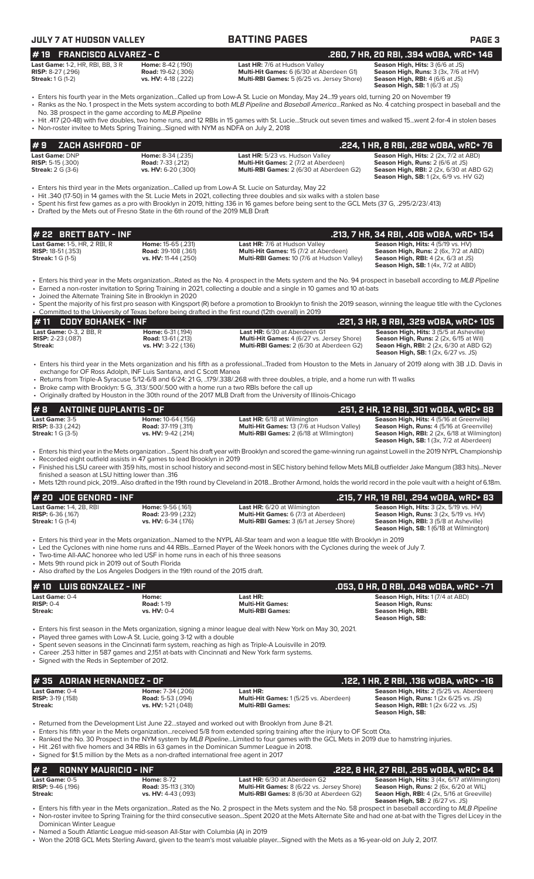| #19<br><b>FRANCISCO ALVAREZ - C</b>                                                                                                                                                                                      |                                                                          |                                                                                                                                                                                                                                                                                                                                                                                | .260, 7 HR, 20 RBI, .394 wOBA, wRC+ 146                                                                                                                                                                                                                                                                                           |
|--------------------------------------------------------------------------------------------------------------------------------------------------------------------------------------------------------------------------|--------------------------------------------------------------------------|--------------------------------------------------------------------------------------------------------------------------------------------------------------------------------------------------------------------------------------------------------------------------------------------------------------------------------------------------------------------------------|-----------------------------------------------------------------------------------------------------------------------------------------------------------------------------------------------------------------------------------------------------------------------------------------------------------------------------------|
| Last Game: 1-2, HR, RBI, BB, 3 R<br><b>RISP:</b> 8-27 (.296)<br><b>Streak:</b> 1 G (1-2)                                                                                                                                 | Home: 8-42 (.190)<br><b>Road: 19-62 (.306)</b><br>vs. HV: 4-18 (.222)    | Last HR: 7/6 at Hudson Valley<br>Multi-Hit Games: 6 (6/30 at Aberdeen G1)<br>Multi-RBI Games: 5 (6/25 vs. Jersey Shore)                                                                                                                                                                                                                                                        | Season High, Hits: 3 (6/6 at JS)<br>Season High, Runs: 3 (3x, 7/6 at HV)<br>Season High, RBI: 4 (6/6 at JS)<br>Season High, SB: 1 (6/3 at JS)                                                                                                                                                                                     |
| No. 38 prospect in the game according to MLB Pipeline                                                                                                                                                                    |                                                                          | • Enters his fourth year in the Mets organizationCalled up from Low-A St. Lucie on Monday, May 2419 years old, turning 20 on November 19                                                                                                                                                                                                                                       | · Ranks as the No. 1 prospect in the Mets system according to both MLB Pipeline and Baseball AmericaRanked as No. 4 catching prospect in baseball and the                                                                                                                                                                         |
| • Non-roster invitee to Mets Spring TrainingSigned with NYM as NDFA on July 2, 2018                                                                                                                                      |                                                                          |                                                                                                                                                                                                                                                                                                                                                                                | · Hit .417 (20-48) with five doubles, two home runs, and 12 RBIs in 15 games with St. LucieStruck out seven times and walked 15went 2-for-4 in stolen bases                                                                                                                                                                       |
| <b>ZACH ASHFORD - OF</b><br># 9                                                                                                                                                                                          |                                                                          |                                                                                                                                                                                                                                                                                                                                                                                | .224, 1 HR, 8 RBI, .282 WOBA, WRC+ 76                                                                                                                                                                                                                                                                                             |
| Last Game: DNP<br><b>RISP:</b> 5-15 (.300)<br><b>Streak:</b> 2 G (3-6)                                                                                                                                                   | Home: 8-34 (.235)<br><b>Road:</b> 7-33 (.212)<br>vs. HV: 6-20 (.300)     | Last HR: 5/23 vs. Hudson Valley<br>Multi-Hit Games: 2 (7/2 at Aberdeen)<br>Multi-RBI Games: 2 (6/30 at Aberdeen G2)                                                                                                                                                                                                                                                            | Season High, Hits: 2 (2x, 7/2 at ABD)<br>Season High, Runs: 2 (6/6 at JS)<br><b>Season High, RBI:</b> 2 (2x, 6/30 at ABD G2)<br><b>Season High, SB:</b> 1 (2x, 6/9 vs. HV G2)                                                                                                                                                     |
| • Drafted by the Mets out of Fresno State in the 6th round of the 2019 MLB Draft                                                                                                                                         |                                                                          | Enters his third year in the Mets organizationCalled up from Low-A St. Lucie on Saturday, May 22 •<br>• Hit .340 (17-50) in 14 games with the St. Lucie Mets in 2021, collecting three doubles and six walks with a stolen base<br>Spent his first few games as a pro with Brooklyn in 2019, hitting .136 in 16 games before being sent to the GCL Mets (37 G, .295/2/23/.413) |                                                                                                                                                                                                                                                                                                                                   |
| # 22 BRETT BATY - INF                                                                                                                                                                                                    |                                                                          |                                                                                                                                                                                                                                                                                                                                                                                | .213, 7 HR, 34 RBI, .406 wOBA, wRC+ 154                                                                                                                                                                                                                                                                                           |
| Last Game: 1-5, HR, 2 RBI, R<br><b>RISP: 18-51 (.353)</b><br><b>Streak:</b> 1 G (1-5)                                                                                                                                    | Home: 15-65 (.231)<br><b>Road:</b> 39-108 (.361)<br>vs. HV: 11-44 (.250) | Last HR: 7/6 at Hudson Valley<br>Multi-Hit Games: 15 (7/2 at Aberdeen)<br>Multi-RBI Games: 10 (7/6 at Hudson Valley)                                                                                                                                                                                                                                                           | Season High, Hits: 4 (5/19 vs. HV)<br><b>Season High, Runs: 2 (6x, 7/2 at ABD)</b><br><b>Season High, RBI:</b> $4$ (2x, $6/3$ at JS)<br><b>Season High, SB:</b> $1(4x, 7/2$ at ABD)                                                                                                                                               |
| • Joined the Alternate Training Site in Brooklyn in 2020                                                                                                                                                                 |                                                                          | • Earned a non-roster invitation to Spring Training in 2021, collecting a double and a single in 10 games and 10 at-bats                                                                                                                                                                                                                                                       | • Enters his third year in the Mets organizationRated as the No. 4 prospect in the Mets system and the No. 94 prospect in baseball according to MLB Pipeline                                                                                                                                                                      |
|                                                                                                                                                                                                                          |                                                                          | • Committed to the University of Texas before being drafted in the first round (12th overall) in 2019                                                                                                                                                                                                                                                                          | • Spent the majority of his first pro season with Kingsport (R) before a promotion to Brooklyn to finish the 2019 season, winning the league title with the Cyclones                                                                                                                                                              |
| #11<br><b>CODY BOHANEK - INF</b>                                                                                                                                                                                         |                                                                          |                                                                                                                                                                                                                                                                                                                                                                                | .221, 3 HR, 9 RBI, .329 wOBA, wRC+ 105                                                                                                                                                                                                                                                                                            |
| Last Game: 0-3, 2 BB, R<br><b>RISP:</b> 2-23 (.087)<br>Streak:                                                                                                                                                           | Home: 6-31 (.194)<br><b>Road: 13-61 (.213)</b><br>vs. HV: 3-22 (.136)    | Last HR: 6/30 at Aberdeen G1<br>Multi-Hit Games: 4 (6/27 vs. Jersey Shore)<br>Multi-RBI Games: 2 (6/30 at Aberdeen G2)                                                                                                                                                                                                                                                         | Season High, Hits: 3 (5/5 at Asheville)<br>Season High, Runs: 2 (2x, 6/15 at Wil)<br><b>Seaon High, RBI:</b> 2 (2x, 6/30 at ABD G2)<br><b>Season High, SB:</b> 1 (2x, 6/27 vs. JS)                                                                                                                                                |
| exchange for OF Ross Adolph, INF Luis Santana, and C Scott Manea                                                                                                                                                         |                                                                          | • Returns from Triple-A Syracuse 5/12-6/8 and 6/24: 21 G, 179/.338/.268 with three doubles, a triple, and a home run with 11 walks<br>• Broke camp with Brooklyn: 5 G, .313/.500/.500 with a home run a two RBIs before the call up<br>• Originally drafted by Houston in the 30th round of the 2017 MLB Draft from the University of Illinois-Chicago                         | • Enters his third year in the Mets organization and his fifth as a professionalTraded from Houston to the Mets in January of 2019 along with 3B J.D. Davis in                                                                                                                                                                    |
| #8<br><b>ANTOINE DUPLANTIS - OF</b>                                                                                                                                                                                      |                                                                          |                                                                                                                                                                                                                                                                                                                                                                                | .251, 2 HR, 12 RBI, .301 wOBA, wRC+ 88                                                                                                                                                                                                                                                                                            |
| Last Game: 3-5<br><b>RISP:</b> 8-33 (.242)<br><b>Streak: 1 G (3-5)</b>                                                                                                                                                   | Home: 10-64 (.156)<br>Road: 37-119 (.311)<br>vs. HV: 9-42 (.214)         | Last HR: 6/18 at Wilmington<br>Multi-Hit Games: 13 (7/6 at Hudson Valley)<br>Multi-RBI Games: 2 (6/18 at Wilmington)                                                                                                                                                                                                                                                           | Season High, Hits: 4 (5/16 at Greenville)<br>Season High, Runs: 4 (5/16 at Greenville)<br>Season High, RBI: 2 (2x, 6/18 at Wilmington)<br>Season High, SB: 1 (3x, 7/2 at Aberdeen)                                                                                                                                                |
| • Recorded eight outfield assists in 47 games to lead Brooklyn in 2019<br>finished a season at LSU hitting lower than .316                                                                                               |                                                                          |                                                                                                                                                                                                                                                                                                                                                                                | • Enters his third year in the Mets organization Spent his draft year with Brooklyn and scored the game-winning run against Lowell in the 2019 NYPL Championship<br>• Finished his LSU career with 359 hits, most in school history and second-most in SEC history behind fellow Mets MiLB outfielder Jake Mangum (383 hits)Never |
|                                                                                                                                                                                                                          |                                                                          |                                                                                                                                                                                                                                                                                                                                                                                | • Mets 12th round pick, 2019Also drafted in the 19th round by Cleveland in 2018Brother Armond, holds the world record in the pole vault with a height of 6.18m.                                                                                                                                                                   |
| # 20 JOE GENORD - INF                                                                                                                                                                                                    |                                                                          |                                                                                                                                                                                                                                                                                                                                                                                | .215, 7 HR, 19 RBI, .294 wOBA, wRC+ 83                                                                                                                                                                                                                                                                                            |
| Last Game: 1-4, 2B, RBI<br><b>RISP:</b> $6-36$ (.167)<br><b>Streak:</b> 1 G (1-4)                                                                                                                                        | Home: 9-56 (.161)<br><b>Road:</b> 23-99 (.232)<br>vs. HV: 6-34 (.176)    | <b>Last HR:</b> 6/20 at Wilmington<br>Multi-Hit Games: 6 (7/3 at Aberdeen)<br>Multi-RBI Games: 3 (6/1 at Jersey Shore)                                                                                                                                                                                                                                                         | Season High, Hits: 3 (2x, 5/19 vs. HV)<br>Season High, Runs: 3 (2x, 5/19 vs. HV)<br><b>Season High, RBI: 3 (5/8 at Asheville)</b><br><b>Season High, SB: 1 (6/18 at Wilmington)</b>                                                                                                                                               |
| • Two-time All-AAC honoree who led USF in home runs in each of his three seasons<br>• Mets 9th round pick in 2019 out of South Florida<br>• Also drafted by the Los Angeles Dodgers in the 19th round of the 2015 draft. |                                                                          | • Enters his third year in the Mets organizationNamed to the NYPL All-Star team and won a league title with Brooklyn in 2019<br>• Led the Cyclones with nine home runs and 44 RBIsEarned Player of the Week honors with the Cyclones during the week of July 7.                                                                                                                |                                                                                                                                                                                                                                                                                                                                   |
| <b>LUIS GONZALEZ - INF</b><br># 10                                                                                                                                                                                       |                                                                          |                                                                                                                                                                                                                                                                                                                                                                                | .053, O HR, O RBI, .048 wOBA, wRC+ -71                                                                                                                                                                                                                                                                                            |
| Last Game: 0-4<br><b>RISP: 0-4</b><br>Streak:                                                                                                                                                                            | Home:<br><b>Road: 1-19</b><br>vs. HV: 0-4                                | Last HR:<br><b>Multi-Hit Games:</b><br><b>Multi-RBI Games:</b>                                                                                                                                                                                                                                                                                                                 | Season High, Hits: 1 (7/4 at ABD)<br><b>Season High, Runs:</b><br>Season High, RBI:<br>Season High, SB:                                                                                                                                                                                                                           |
| • Played three games with Low-A St. Lucie, going 3-12 with a double<br>• Career .253 hitter in 587 games and 2,151 at-bats with Cincinnati and New York farm systems.<br>• Signed with the Reds in September of 2012.    |                                                                          | • Enters his first season in the Mets organization, signing a minor league deal with New York on May 30, 2021.<br>• Spent seven seasons in the Cincinnati farm system, reaching as high as Triple-A Louisville in 2019.                                                                                                                                                        |                                                                                                                                                                                                                                                                                                                                   |
| #35 ADRIAN HERNANDEZ - OF                                                                                                                                                                                                |                                                                          |                                                                                                                                                                                                                                                                                                                                                                                | .122, 1 HR, 2 RBI, .136 wOBA, wRC+ -16                                                                                                                                                                                                                                                                                            |
| Last Game: 0-4<br><b>RISP: 3-19 (.158)</b><br><b>Streak:</b>                                                                                                                                                             | Home: 7-34 (.206)<br><b>Road:</b> 5-53 (.094)<br>vs. HV: 1-21 (.048)     | Last HR:<br>Multi-Hit Games: 1 (5/25 vs. Aberdeen)<br><b>Multi-RBI Games:</b>                                                                                                                                                                                                                                                                                                  | Season High, Hits: 2 (5/25 vs. Aberdeen)<br><b>Season High, Runs: 1 (2x 6/25 vs. JS)</b><br><b>Season High, RBI:</b> 1 (2x 6/22 vs. JS)<br><b>Season High, SB:</b>                                                                                                                                                                |
|                                                                                                                                                                                                                          |                                                                          | • Returned from the Development List June 22stayed and worked out with Brooklyn from June 8-21.<br>• Enters his fifth year in the Mets organizationreceived 5/8 from extended spring training after the injury to OF Scott Ota.<br>• Ranked the No. 30 Prospect in the NYM system by MLB PipelineLimited to four games with the GCL Mets in 2019 due to hamstring injuries.    |                                                                                                                                                                                                                                                                                                                                   |

• Hit .261 with five homers and 34 RBIs in 63 games in the Dominican Summer League in 2018.

## • Signed for \$1.5 million by the Mets as a non-drafted international free agent in 2017

### **# 2 RONNY MAURICIO - INF** Last HR: 6/30 at Aberdeen G2 **.222, 8 HR, 27 RBI, .295 wOBA, wRC+ 84**<br>
Last Game: 0-5 **Home: 8-72** Last HR: 6/30 at Aberdeen G2 Season High, Hits: 3 (4x, 6/17 atWilmingtor<br>
RISP: 9-46 (.196) Ro **Last Game:** 0-5 **Home:** 8-72 **Last HR:** 6/30 at Aberdeen G2 **Season High, Hits:** 3 (4x, 6/17 atWilmington) **RISP:** 9-46 (.196) **Road: 35-113** (.310) **Road: 35-113 (.310) Riseric Bames: 2 (6/22 vs. Jersey Shore) Riseric Riseric Riseric Read: 35-113** (.310) **Road: 35-113 (.310) Multi-Hit Games: 8 (6/22 vs. Jersey Shore) S Multi-RBI Games:** 8 (6/30 at Aberdeen G2) **Season High, SB:** 2 (6/27 vs. JS)

• Enters his fifth year in the Mets organization...Rated as the No. 2 prospect in the Mets system and the No. 58 prospect in baseball according to *MLB Pipeline* • Non-roster invitee to Spring Training for the third consecutive season...Spent 2020 at the Mets Alternate Site and had one at-bat with the Tigres del Licey in the Dominican Winter League

• Named a South Atlantic League mid-season All-Star with Columbia (A) in 2019

• Won the 2018 GCL Mets Sterling Award, given to the team's most valuable player...Signed with the Mets as a 16-year-old on July 2, 2017.

# **JULY 7 AT HUDSON VALLEY BATTING PAGES PAGE 3**

|         | # 11 $\,$ CODY BOHANEK - INF   |                           |                                                                                                                                                | . .221, 3 HR, 9 RBI, .329 wOBA, wRC+ 105 '     |
|---------|--------------------------------|---------------------------|------------------------------------------------------------------------------------------------------------------------------------------------|------------------------------------------------|
|         | <b>Last Game: 0-3, 2 BB, R</b> | Home: 6-31 (.194)         | <b>Last HR:</b> 6/30 at Aberdeen G1                                                                                                            | <b>Season High, Hits: 3 (5/5 at Asheville)</b> |
|         | <b>RISP:</b> $2-23$ (.087)     | <b>Road: 13-61 (.213)</b> | <b>Multi-Hit Games: 4 (6/27 vs. Jersey Shore)</b>                                                                                              | <b>Season High, Runs:</b> 2 (2x, 6/15 at Wil)  |
| Streak: |                                | vs. HV: 3-22 (.136)       | <b>Multi-RBI Games:</b> 2 (6/30 at Aberdeen G2)                                                                                                | <b>Seaon High, RBI:</b> 2 (2x, 6/30 at ABD G2) |
|         |                                |                           |                                                                                                                                                | <b>Season High, SB:</b> 1(2x, 6/27 vs. JS)     |
|         |                                |                           | Fairna bhailteach i chuidheachailte an bhailte an chuidheach Thaird Arm House is in Mair to beach a f <b>AAA</b> cheangli <b>AB TR</b> Barteta |                                                |

- Enters his third year in the Mets organization ...Spent his draft year with Brooklyn and scored the game-winning run against Lowell in the 2019 NYPL Championship
- Mets 12th round pick, 2019...Also drafted in the 19th round by Cleveland in 2018...Brother Armond, holds the world record in the pole vault with a height of 6.18m.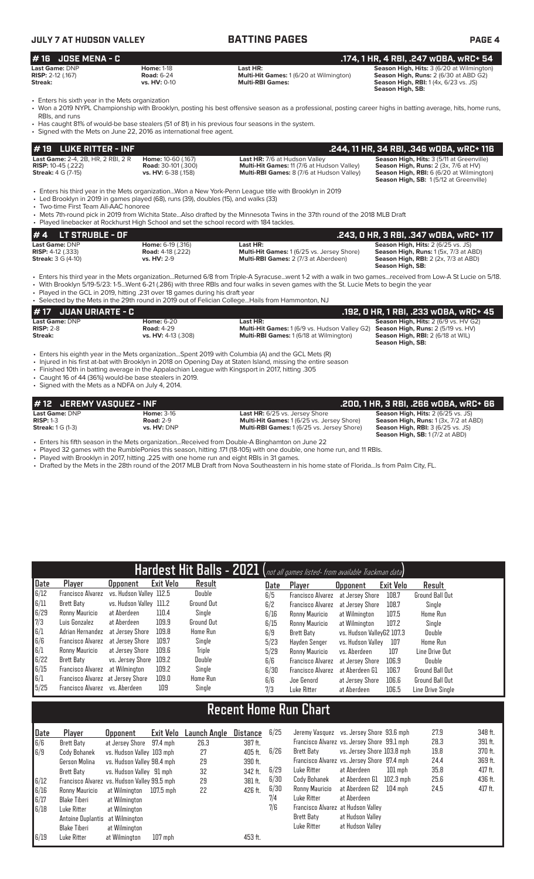### **JULY 7 AT HUDSON VALLEY BATTING PAGES PAGE 4 # 16 JOSE MENA - C .174, 1 HR, 4 RBI, .247 wOBA, wRC+ 54 Last Game:** DNP **Home:** 1-18 **Last HR: Season High, Hits:** 3 (6/20 at Wilmington) **RISP:** 2-12 (.167) **Road:** 6-24 **Multi-Hit Games:** 1 (6/20 at Wilmington) **Season High, Runs:** 2 (6/30 at ABD G2) **Streak:**  $\frac{1}{2}$  (1.37) **Season High, RBI:** 1 (4x, 6/23 vs. JS)<br>**Streak: Streak: Streak: Streak: Streak: Season High, RBI:** 1 (4x, 6/23 vs. JS)

• Enters his sixth year in the Mets organization<br>• Won a 2019 NYPL Championship with Brookl

• Won a 2019 NYPL Championship with Brooklyn, posting his best offensive season as a professional, posting career highs in batting average, hits, home runs, RBIs, and runs

- Has caught 81% of would-be base stealers (51 of 81) in his previous four seasons in the system.
- Signed with the Mets on June 22, 2016 as international free agent.

| $# 19$ LUKE RITTER - INF                                                             |                            |                                                                                                        | .244. 11 HR. 34 RBI. .346 WOBA. WRC+ 116               |
|--------------------------------------------------------------------------------------|----------------------------|--------------------------------------------------------------------------------------------------------|--------------------------------------------------------|
| <b>Last Game: 2-4, 2B, HR, 2 RBI, 2 R</b>                                            | Home: 10-60 (.167)         | <b>Last HR: 7/6 at Hudson Valley</b>                                                                   | <b>Season High, Hits: 3 (5/11 at Greenville)</b>       |
| <b>RISP:</b> $10-45$ (.222)                                                          | <b>Road:</b> 30-101 (.300) | Multi-Hit Games: 11 (7/6 at Hudson Valley)                                                             | <b>Season High, Runs:</b> $2$ ( $3x$ , $7/6$ at $HV$ ) |
| <b>Streak: 4 G (7-15)</b>                                                            | vs. HV: 6-38 (.158)        | <b>Multi-RBI Games:</b> 8 (7/6 at Hudson Valley)                                                       | Season High, RBI: 6 (6/20 at Wilmington)               |
|                                                                                      |                            |                                                                                                        | <b>Season High, SB: 1(5/12 at Greenville)</b>          |
|                                                                                      |                            | • Enters his third year in the Mets organizationWon a New York-Penn League title with Brooklyn in 2019 |                                                        |
| • Led Brooklyn in 2019 in games played (68), runs (39), doubles (15), and walks (33) |                            |                                                                                                        |                                                        |

• Two-time First Team All-AAC honoree

• Mets 7th-round pick in 2019 from Wichita State...Also drafted by the Minnesota Twins in the 37th round of the 2018 MLB Draft

| • Played linebacker at Rockhurst High School and set the school record with 184 tackles. |                          |                                             |                                                                         |
|------------------------------------------------------------------------------------------|--------------------------|---------------------------------------------|-------------------------------------------------------------------------|
| $# 4$ LT STRUBLE - OF                                                                    |                          |                                             | .243, 0 HR, 3 RBI, .347 w0BA, wRC+ 117                                  |
| <b>Last Game: DNP</b>                                                                    | <b>Home: 6-19 (.316)</b> | Last HR:                                    | <b>Season High, Hits: 2 (6/25 vs. JS)</b>                               |
| <b>RISP:</b> $4-12$ (.333)                                                               | <b>Road:</b> 4-18 (.222) | Multi-Hit Games: 1 (6/25 vs. Jersey Shore)  | Season High, Runs: 1 (5x, 7/3 at ABD)                                   |
| <b>Streak: 3 G (4-10)</b>                                                                | <b>vs. HV: 2-9</b>       | <b>Multi-RBI Games: 2 (7/3 at Aberdeen)</b> | <b>Season High, RBI:</b> $2$ ( $2x$ , $7/3$ at ABD)<br>Season High, SB: |

• Enters his third year in the Mets organization...Returned 6/8 from Triple-A Syracuse...went 1-2 with a walk in two games...received from Low-A St Lucie on 5/18. • With Brooklyn 5/19-5/23: 1-5...Went 6-21 (.286) with three RBIs and four walks in seven games with the St. Lucie Mets to begin the year

• Played in the GCL in 2019, hitting .231 over 18 games during his draft year • Selected by the Mets in the 29th round in 2019 out of Felician College...Hails from Hammonton, NJ

|                                      |                                        | <u>ocioció de la ciudad el ciudad en la ciudad de la ciudad de la ciudad el ciudad de la ciudad de la ciudad de l</u>                                                                                                           |                                                                                                   |
|--------------------------------------|----------------------------------------|---------------------------------------------------------------------------------------------------------------------------------------------------------------------------------------------------------------------------------|---------------------------------------------------------------------------------------------------|
| <i>H</i> 17 JUAN URIARTE - C         |                                        |                                                                                                                                                                                                                                 | . .192, O HR, 1 RBI, .233 wOBA, <u>wRC+ 45</u>                                                    |
| <b>Last Game: DNP</b><br>$RISP: 2-8$ | <b>Home: 6-20</b><br><b>Road: 4-29</b> | Last HR:<br><b>Multi-Hit Games:</b> 1 (6/9 vs. Hudson Valley G2)                                                                                                                                                                | <b>Season High, Hits: 2 (6/9 vs. HV G2)</b><br><b>Season High, Runs:</b> $2(5/19 \text{ vs. HV})$ |
| Streak:                              | vs. HV: 4-13 (.308)                    | <b>Multi-RBI Games: 1 (6/18 at Wilmington)</b>                                                                                                                                                                                  | <b>Season High, RBI:</b> 2 (6/18 at WIL)<br>Season High, SB:                                      |
|                                      |                                        | • Enters his eighth year in the Mets organizationSpent 2019 with Columbia (A) and the GCL Mets (R)<br>totion of the bits Book of board the bits of the to AAA on American Normal African Island and the status of the component |                                                                                                   |

- Injured in his first at-bat with Brooklyn in 2018 on Opening Day at Staten Island, missing the entire season
- Finished 10th in batting average in the Appalachian League with Kingsport in 2017, hitting .305
- Caught 16 of 44 (36%) would-be base stealers in 2019.
- Signed with the Mets as a NDFA on July 4, 2014.

| #12 JEREMY VASQUEZ - INF                                                    |                                                      |                                                                                                                                   | .200. 1 HR. 3 RBI. .266 WOBA. WRC+ 66                                                                                                                                    |
|-----------------------------------------------------------------------------|------------------------------------------------------|-----------------------------------------------------------------------------------------------------------------------------------|--------------------------------------------------------------------------------------------------------------------------------------------------------------------------|
| <b>Last Game: DNP</b><br>$RISP: 1-3$<br><b>Streak:</b> $1 \text{ G } (1-3)$ | <b>Home: 3-16</b><br><b>Road: 2-9</b><br>vs. HV: DNP | <b>Last HR:</b> 6/25 vs. Jersey Shore<br>Multi-Hit Games: 1 (6/25 vs. Jersey Shore)<br>Multi-RBI Games: 1 (6/25 vs. Jersey Shore) | <b>Season High, Hits: 2 (6/25 vs. JS)</b><br>Season High, Runs: 1 (3x, 7/2 at ABD)<br><b>Season High, RBI: 3 (6/25 vs. JS)</b><br><b>Season High, SB: 1 (7/2 at ABD)</b> |
|                                                                             |                                                      | . Enters his fifth season in the Mets organizationReceived from Double-A Binghamton on June 22                                    |                                                                                                                                                                          |

• Played 32 games with the RumblePonies this season, hitting .171 (18-105) with one double, one home run, and 11 RBIs.

• Played with Brooklyn in 2017, hitting .225 with one home run and eight RBIs in 31 games.

• Drafted by the Mets in the 28th round of the 2017 MLB Draft from Nova Southeastern in his home state of Florida...Is from Palm City, FL.

|                                                   |                                   |                         |                  |                 |  |      | Hardest Hit Balls - 2021 (not all games listed- from available Trackman data) |                           |                  |                        |
|---------------------------------------------------|-----------------------------------|-------------------------|------------------|-----------------|--|------|-------------------------------------------------------------------------------|---------------------------|------------------|------------------------|
| Date                                              | Player                            | <b>Opponent</b>         | <b>Exit Velo</b> | Result          |  | Date | Player                                                                        | <b>Opponent</b>           | <b>Exit Velo</b> | Result                 |
| 6/12                                              | <b>Francisco Alvarez</b>          | vs. Hudson Valley 112.5 |                  | Double          |  | 6/5  | <b>Francisco Alvarez</b>                                                      | at Jersey Shore           | 108.7            | <b>Ground Ball Out</b> |
| 6/11                                              | <b>Brett Baty</b>                 | vs. Hudson Valley 111.2 |                  | Ground Out      |  | 6/2  | <b>Francisco Alvarez</b>                                                      | at Jersey Shore           | 108.7            | Single                 |
| 6/29                                              | Ronny Mauricio                    | at Aberdeen             | 110.4            | Single          |  | 6/16 | Ronny Mauricio                                                                | at Wilmington             | 107.5            | Home Run               |
| $\begin{bmatrix} 7/3 \\ 6/1 \\ 6/6 \end{bmatrix}$ | Luis Gonzalez                     | at Aberdeen             | 109.9            | Ground Out      |  | 6/15 | Ronny Mauricio                                                                | at Wilmington             | 107.2            | Single                 |
|                                                   | Adrian Hernandez                  | at Jersev Shore         | 109.8            | <b>Home Run</b> |  | 6/9  | Brett Baty                                                                    | vs. Hudson ValleyG2 107.3 |                  | Double                 |
|                                                   | <b>Francisco Alvarez</b>          | at Jersey Shore         | 109.7            | Single          |  | 5/23 | Havden Senger                                                                 | vs. Hudson Vallev         | 107              | <b>Home Run</b>        |
| 6/1                                               | Ronny Mauricio                    | at Jersey Shore         | 109.6            | Triple          |  | 5/29 | Ronny Mauricio                                                                | vs. Aberdeen              | 107              | Line Drive Out         |
| 6/22                                              | <b>Brett Baty</b>                 | vs. Jersey Shore        | 109.2            | Double          |  | 6/6  | <b>Francisco Alvarez</b>                                                      | at Jersev Shore           | 106.9            | Double                 |
| 6/15                                              | <b>Francisco Alvarez</b>          | at Wilmington           | 109.2            | Single          |  | 6/30 | <b>Francisco Alvarez</b>                                                      | at Aberdeen G1            | 106.7            | Ground Ball Out        |
| 6/1                                               | Francisco Alvarez at Jersey Shore |                         | 109.0            | Home Run        |  | 6/6  | Joe Genord                                                                    | at Jersey Shore           | 106.6            | <b>Ground Ball Out</b> |
| 5/25                                              | Francisco Alvarez vs. Aberdeen    |                         | 109              | Single          |  | 7/3  | Luke Ritter                                                                   | at Aberdeen               | 106.5            | Line Drive Single      |
| <b>Recent Home Run Chart</b>                      |                                   |                         |                  |                 |  |      |                                                                               |                           |                  |                        |

| Date<br>6/6<br>6/9<br>6/12<br>6/16 | Player<br>Brett Baty<br>Cody Bohanek<br>Gerson Molina<br>Brett Baty<br>Francisco Alvarez vs. Hudson Valley 99.5 mph | <b>Opponent</b><br>at Jersey Shore 97.4 mph<br>vs. Hudson Valley 103 mph<br>vs. Hudson Valley 98.4 mph<br>vs. Hudson Valley 91 mph | Exit Velo | Launch Angle<br>26.3<br>27<br>29<br>32<br>29 | Distance<br>387 ft.<br>405 ft.<br>390 ft.<br>342 ft.<br>381 ft. | 6/25<br>6/26<br>6/29<br>6/30<br>6/30 | Jeremy Vasquez vs. Jersey Shore 93.6 mph<br>Francisco Alvarez vs. Jersey Shore 99.1 mph<br>Brett Baty<br>Francisco Alvarez vs. Jersey Shore 97.4 mph<br>Luke Ritter<br>Cody Bohanek<br>Ronny Mauricio | vs. Jersey Shore 103.8 mph<br>at Aberdeen<br>at Aberdeen G1<br>at Aberdeen G2 | $101$ mph<br>102.3 mph<br>$104$ mph | 27.9<br>28.3<br>19.8<br>24.4<br>35.8<br>25.6<br>24.5 | 348 ft.<br>391 ft.<br>370 ft.<br>369 ft.<br>417 ft.<br>436 ft.<br>417 ft. |
|------------------------------------|---------------------------------------------------------------------------------------------------------------------|------------------------------------------------------------------------------------------------------------------------------------|-----------|----------------------------------------------|-----------------------------------------------------------------|--------------------------------------|-------------------------------------------------------------------------------------------------------------------------------------------------------------------------------------------------------|-------------------------------------------------------------------------------|-------------------------------------|------------------------------------------------------|---------------------------------------------------------------------------|
| 6/17<br>6/18<br>6/19               | Blake Tiberi<br>Luke Ritter<br>Antoine Duplantis at Wilmington<br>Blake Tiberi<br>Luke Ritter                       | at Wilmington<br>at Wilmington<br>at Wilmington<br>at Wilmington                                                                   | $107$ mph |                                              | 453 ft.                                                         | 7/4<br>7/6                           | Luke Ritter<br>Francisco Alvarez at Hudson Valley<br><b>Brett Baty</b><br>Luke Ritter                                                                                                                 | at Aberdeen<br>at Hudson Valley<br>at Hudson Valley                           |                                     |                                                      |                                                                           |

**Season High, SB:**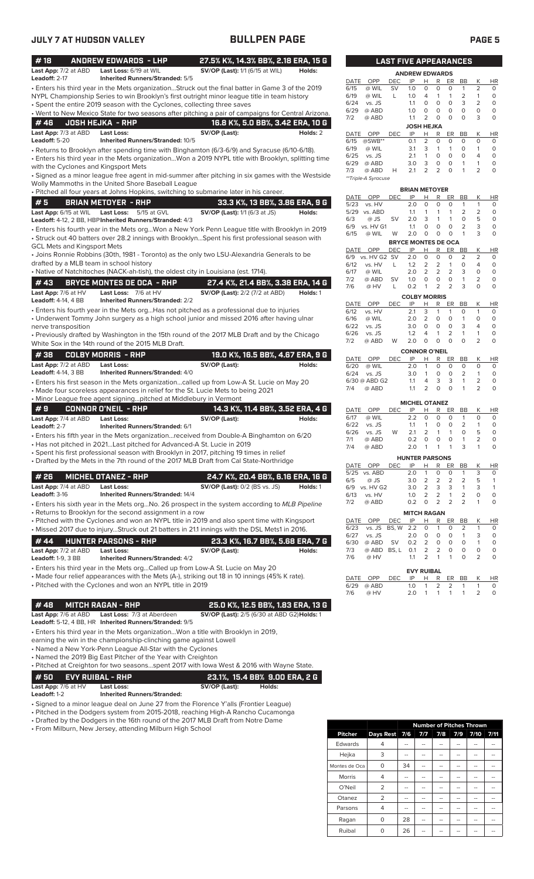| #18                                     | <b>ANDREW EDWARDS - LHP</b>                                                                           | 27.5% K%, 14.3% BB%, 2.18 ERA, 15 G         |        |          |              |                      |                |            | <b>LAST FIVE APPEARANCES</b>     |                        |                                |                     |                        |
|-----------------------------------------|-------------------------------------------------------------------------------------------------------|---------------------------------------------|--------|----------|--------------|----------------------|----------------|------------|----------------------------------|------------------------|--------------------------------|---------------------|------------------------|
| Last App: 7/2 at ABD<br>Leadoff: 2-17   | Last Loss: 6/19 at WIL<br><b>Inherited Runners/Stranded: 5/5</b>                                      | SV/OP (Last): 1/1 (6/15 at WIL)             |        | Holds:   | DATE         | OPP                  | DEC            | IP         | <b>ANDREW EDWARDS</b><br>R<br>H. | ER                     | BB                             | Κ                   | <b>HR</b>              |
|                                         | · Enters his third year in the Mets organizationStruck out the final batter in Game 3 of the 2019     |                                             |        |          | 6/15         | @ WIL                | <b>SV</b>      | 1.0        | 0<br>0                           | 0                      | 1                              | 2                   | 0                      |
|                                         | NYPL Championship Series to win Brooklyn's first outright minor league title in team history          |                                             |        |          | 6/19         | @ WIL                | L              | 1.0        | 4<br>$\mathbf{1}$                | $\mathbf{1}$           | $\overline{c}$                 | 1                   | $\circ$                |
|                                         | • Spent the entire 2019 season with the Cyclones, collecting three saves                              |                                             |        |          | 6/24<br>6/29 | vs. JS<br>@ ABD      |                | 1.1<br>1.0 | 0<br>0<br>0<br>0                 | $\circ$<br>$\mathsf O$ | 3<br>0                         | $\overline{2}$<br>0 | $\circ$<br>$\circ$     |
|                                         | . Went to New Mexico State for two seasons after pitching a pair of campaigns for Central Arizona.    |                                             |        |          | 7/2          | @ ABD                |                | 1.1        | 2<br>0                           | $\mathsf O$            | $\circ$                        | 3                   | $\mathbf 0$            |
| #46                                     | <b>JOSH HEJKA - RHP</b>                                                                               | 16.8 K%, 5.0 BB%, 3.42 ERA, 10 G            |        |          |              |                      |                |            | <b>JOSH HEJKA</b>                |                        |                                |                     |                        |
| Last App: 7/3 at ABD                    | <b>Last Loss:</b>                                                                                     | SV/OP (Last):                               |        | Holds: 2 | DATE         | OPP                  | <b>DEC</b>     | IP         | н<br>R                           | ER                     | BB                             | Κ                   | <b>HR</b>              |
| Leadoff: 5-20                           | Inherited Runners/Stranded: 10/5                                                                      |                                             |        |          | 6/15         | $@SWB**$             |                | 0.1        | $\overline{2}$<br>$\circ$        | 0                      | $\circ$                        | 0                   | 0                      |
|                                         | • Returns to Brooklyn after spending time with Binghamton (6/3-6/9) and Syracuse (6/10-6/18).         |                                             |        |          | 6/19         | @ WIL                |                | 3.1        | 3<br>$\mathbf{1}$                | $\mathbf{1}$           | 0<br>$\circ$                   | 1<br>$\overline{4}$ | $\circ$                |
|                                         | · Enters his third year in the Mets organizationWon a 2019 NYPL title with Brooklyn, splitting time   |                                             |        |          | 6/25<br>6/29 | vs. JS<br>@ ABD      |                | 2.1<br>3.0 | 0<br>$\mathbf{1}$<br>3<br>0      | 0<br>$\mathbf 0$       | 1                              | $\mathbf{1}$        | $\circ$<br>$\circ$     |
| with the Cyclones and Kingsport Mets    |                                                                                                       |                                             |        |          | 7/3          | @ ABD                | Н              | 2.1        | $\overline{2}$<br>$\overline{2}$ | $\circ$                | 1                              | 2                   | $\mathbf 0$            |
|                                         | · Signed as a minor league free agent in mid-summer after pitching in six games with the Westside     |                                             |        |          |              | **Triple-A Syracuse  |                |            |                                  |                        |                                |                     |                        |
|                                         | Wolly Mammoths in the United Shore Baseball League                                                    |                                             |        |          |              |                      |                |            | <b>BRIAN METOYER</b>             |                        |                                |                     |                        |
|                                         | · Pitched all four years at Johns Hopkins, switching to submarine later in his career.                |                                             |        |          | DATE         | OPP                  | DEC            | IP         | R<br>Н                           | ER                     | BB                             | Κ                   | HR                     |
| #5                                      | <b>BRIAN METOYER - RHP</b>                                                                            | 33.3 K%, 13 BB%, 3.86 ERA, 9 G              |        |          | 5/23         | vs. HV               |                | 2.0        | 0<br>0                           | $\mathbf 0$            | $\mathbf{1}$                   | 1                   | 0                      |
|                                         | Last App: 6/15 at WIL Last Loss: 5/15 at GVL                                                          | <b>SV/OP (Last):</b> 1/1 (6/3 at JS)        |        | Holds:   |              | 5/29 vs. ABD         |                | 1.1        | $\mathbf{1}$<br>1                | $\mathbf{1}$           | 2                              | $\overline{2}$      | $\circ$                |
|                                         | Leadoff: 4-12, 2 BB, HBP Inherited Runners/Stranded: 4/3                                              |                                             |        |          | 6/3          | @ JS                 | SV             | 2.0        | 3<br>$\mathbf{1}$                | $\mathbf{1}$           | 0                              | 5                   | $\circ$                |
|                                         | · Enters his fourth year in the Mets orgWon a New York Penn League title with Brooklyn in 2019        |                                             |        |          | 6/9<br>6/15  | vs. HV G1<br>@ WIL   | W              | 1.1<br>2.0 | $\circ$<br>O<br>$\circ$<br>0     | $\circ$<br>$\circ$     | $\overline{2}$<br>1            | 3<br>3              | $\circ$<br>$\circ$     |
|                                         | · Struck out 40 batters over 28.2 innings with BrooklynSpent his first professional season with       |                                             |        |          |              |                      |                |            | <b>BRYCE MONTES DE OCA</b>       |                        |                                |                     |                        |
| <b>GCL Mets and Kingsport Mets</b>      |                                                                                                       |                                             |        |          |              | DATE OPP             | <b>DEC</b>     | IP         | H<br>R                           | ER                     | BB                             | Κ                   | <b>HR</b>              |
|                                         | • Joins Ronnie Robbins (30th, 1981 - Toronto) as the only two LSU-Alexandria Generals to be           |                                             |        |          | 6/9          | vs. HV G2 SV         |                | 2.0        | $\circ$<br>0                     | 0                      | 2                              | 2                   | $\circ$                |
| drafted by a MLB team in school history |                                                                                                       |                                             |        |          | 6/12         | vs. HV               | L              | 1.2        | 2<br>2                           | $\mathbf{1}$           | 0                              | $\overline{4}$      | $\circ$                |
|                                         | • Native of Natchitoches (NACK-ah-tish), the oldest city in Louisiana (est. 1714).                    |                                             |        |          | 6/17         | @ WIL                |                | 2.0        | 2<br>2                           | $\overline{2}$         | 3                              | 0                   | $\circ$                |
| #43                                     | BRYCE MONTES DE OCA - RHP                                                                             | 27.4 K%, 21.4 BB%, 3.38 ERA, 14 G           |        |          | 7/2<br>7/6   | @ ABD<br>@ HV        | <b>SV</b><br>L | 1.0<br>0.2 | 0<br>0<br>2<br>$\mathbf{1}$      | $\circ$<br>2           | 1<br>3                         | 2<br>0              | $\circ$<br>$\mathbf 0$ |
| Last App: 7/6 at HV                     | Last Loss: 7/6 at HV                                                                                  | <b>SV/OP (Last):</b> 2/2 (7/2 at ABD)       |        | Holds: 1 |              |                      |                |            |                                  |                        |                                |                     |                        |
| <b>Leadoff: 4-14, 4 BB</b>              | <b>Inherited Runners/Stranded: 2/2</b>                                                                |                                             |        |          | DATE         | OPP                  | DEC            | IP         | <b>COLBY MORRIS</b><br>н<br>R    | ER                     | BB                             | Κ                   | <b>HR</b>              |
|                                         | $\bullet$ Enters his fourth year in the Mets orgHas not pitched as a professional due to injuries     |                                             |        |          | 6/12         | vs. HV               |                | 2.1        | 3<br>1                           | 1                      | 0                              | 1                   | 0                      |
|                                         | • Underwent Tommy John surgery as a high school junior and missed 2016 after having ulnar             |                                             |        |          | 6/16         | @ WIL                |                | 2.0        | 2<br>0                           | $\circ$                | $\mathbf{1}$                   | 0                   | $\circ$                |
| nerve transposition                     |                                                                                                       |                                             |        |          | 6/22         | vs. JS               |                | 3.0        | $\circ$<br>0                     | $\circ$                | 3                              | 4                   | $\circ$                |
|                                         | • Previously drafted by Washington in the 15th round of the 2017 MLB Draft and by the Chicago         |                                             |        |          | 6/26         | vs. JS               |                | 1.2        | $\mathbf{1}$<br>4                | 2                      | $\mathbf{1}$                   | 1                   | $\circ$                |
|                                         | White Sox in the 14th round of the 2015 MLB Draft.                                                    |                                             |        |          | 7/2          | @ ABD                | W              | 2.0        | $\circ$<br>0                     | $\mathbf 0$            | $\Omega$                       | 2                   | $\mathbf 0$            |
| #38                                     | <b>COLBY MORRIS - RHP</b>                                                                             | 19.0 K%, 16.5 BB%, 4.67 ERA, 9 G            |        |          |              |                      |                |            | <b>CONNOR O'NEIL</b>             |                        |                                |                     |                        |
| Last App: 7/2 at ABD                    | Last Loss:                                                                                            | SV/OP (Last):                               |        | Holds:   | DATE         | OPP                  | <b>DEC</b>     | IP         | Н<br>R                           | ER                     | BB                             | К<br>$\circ$        | <b>HR</b>              |
| Leadoff: 4-14, 3 BB                     | <b>Inherited Runners/Stranded: 4/0</b>                                                                |                                             |        |          | 6/20<br>6/24 | @ WIL<br>vs. JS      |                | 2.0<br>3.0 | $\mathbf{1}$<br>0<br>1<br>0      | 0<br>0                 | $\circ$<br>2                   | $\mathbf{1}$        | 0<br>0                 |
|                                         | · Enters his first season in the Mets organizationcalled up from Low-A St. Lucie on May 20            |                                             |        |          |              | 6/30 @ ABD G2        |                | 1.1        | 3<br>4                           | 3                      | 1                              | $\overline{2}$      | $\circ$                |
|                                         | • Made four scoreless appearances in relief for the St. Lucie Mets to being 2021                      |                                             |        |          | 7/4          | @ ABD                |                | 1.1        | 2<br>$\circ$                     | $\circ$                | $\mathbf{1}$                   | 2                   | $\circ$                |
|                                         | • Minor League free agent signingpitched at Middlebury in Vermont                                     |                                             |        |          |              |                      |                |            |                                  |                        |                                |                     |                        |
| #9                                      | <b>CONNOR O'NEIL - RHP</b>                                                                            | 14.3 K%, 11.4 BB%, 3.52 ERA, 4 G            |        |          | DATE         | OPP                  | <b>DEC</b>     | IP         | <b>MICHEL OTANEZ</b><br>R<br>Н   | ER                     | <b>BB</b>                      | Κ                   | <b>HR</b>              |
| Last App: 7/4 at ABD                    | Last Loss:                                                                                            | SV/OP (Last):                               |        | Holds:   | 6/17         | @ WIL                |                | 2.2        | 0<br>0                           | 0                      | $\mathbf{1}$                   | $\circ$             | 0                      |
| Leadoff: 2-7                            | <b>Inherited Runners/Stranded: 6/1</b>                                                                |                                             |        |          | 6/22         | vs. JS               |                | 1.1        | 1<br>0                           | 0                      | $\overline{2}$                 | $\mathbf{1}$        | $\circ$                |
|                                         | · Enters his fifth year in the Mets organizationreceived from Double-A Binghamton on 6/20             |                                             |        |          | 6/26         | vs. JS               | W              | 2.1        | 2<br>$\mathbf{1}$                | $\mathbf{1}$           | 0                              | 5                   | $\circ$                |
|                                         | • Has not pitched in 2021Last pitched for Advanced-A St. Lucie in 2019                                |                                             |        |          | 7/1          | @ ABD                |                | 0.2        | $\circ$<br>$\circ$               | $\mathbf 0$            | 1                              | $\overline{2}$      | $\mathsf{O}\xspace$    |
|                                         | · Spent his first professional season with Brooklyn in 2017, pitching 19 times in relief              |                                             |        |          | 7/4          | @ ABD                |                | 2.0        | 1 1                              |                        |                                |                     | 0                      |
|                                         | • Drafted by the Mets in the 7th round of the 2017 MLB Draft from Cal State-Northridge                |                                             |        |          |              |                      |                |            | <b>HUNTER PARSONS</b>            |                        |                                |                     |                        |
|                                         |                                                                                                       |                                             |        |          |              | DATE OPP             | <b>DEC</b>     | IP         | H.<br>R                          | ER                     | <b>BB</b>                      | Κ                   | HR                     |
| #26                                     | <b>MICHEL OTANEZ - RHP</b>                                                                            | 24.7 K%, 20.4 BB%, 6.16 ERA, 16 G           |        |          | 6/5          | 5/25 vs. ABD<br>@ JS |                | 2.0<br>3.0 | 1<br>0<br>$\overline{2}$<br>2    | 0<br>2                 | $\mathbf{1}$<br>$\overline{2}$ | 3<br>5              | 0<br>1                 |
| Last App: 7/4 at ABD                    | <b>Last Loss:</b>                                                                                     | <b>SV/OP (Last): 0/2 (BS vs. JS)</b>        |        | Holds: 1 |              | 6/9 vs. HV G2        |                | 3.0        | $\overline{2}$<br>3              | 3                      | $\mathbf{1}$                   | 3                   | $\mathbf{1}$           |
| Leadoff: 3-16                           | <b>Inherited Runners/Stranded: 14/4</b>                                                               |                                             |        |          | 6/13         | vs. HV               |                | 1.0        | 2<br>2                           | 1                      | 2                              | 0                   | 0                      |
|                                         | • Enters his sixth year in the Mets orgNo. 26 prospect in the system according to <i>MLB Pipeline</i> |                                             |        |          | 7/2          | @ ABD                |                | 0.2        | 2<br>0                           | 2                      | 2                              | 1                   | $\circ$                |
|                                         | • Returns to Brooklyn for the second assignment in a row                                              |                                             |        |          |              |                      |                |            | <b>MITCH RAGAN</b>               |                        |                                |                     |                        |
|                                         | • Pitched with the Cyclones and won an NYPL title in 2019 and also spent time with Kingsport          |                                             |        |          | DATE         | OPP                  | <b>DEC</b>     | IP         | R<br>Н                           | ER                     | $_{\rm BB}$                    | Κ                   | HR                     |
|                                         | Missed 2017 due to injuryStruck out 21 batters in 21.1 innings with the DSL Mets1 in 2016.            |                                             |        |          | 6/23         | vs. JS               | BS, W 2.2      |            | $\mathbf{1}$<br>0                | 0                      | 2                              | 1                   | 0                      |
| # 44                                    | <b>HUNTER PARSONS - RHP</b>                                                                           | 23.3 K%, 16.7 BB%, 5.68 ERA, 7 G            |        |          | 6/27         | vs. JS               |                | 2.0        | 0<br>0                           | 0                      | 1                              | 3                   | 0                      |
| Last App: 7/2 at ABD                    | <b>Last Loss:</b>                                                                                     | SV/OP (Last):                               |        | Holds:   | 6/30<br>7/3  | @ ABD<br>@ ABD BS, L | <b>SV</b>      | 0.2<br>0.1 | 2<br>$\circ$<br>2<br>2           | 0<br>0                 | 0<br>0                         | 1<br>0              | 0<br>0                 |
| <b>Leadoff: 1-9, 3 BB</b>               | <b>Inherited Runners/Stranded: 4/2</b>                                                                |                                             |        |          | 7/6          | @ HV                 |                | 1.1        | 2<br>-1                          | $\mathbf{1}$           | 0                              | 2                   | 0                      |
|                                         | • Enters his third year in the Mets orgCalled up from Low-A St. Lucie on May 20                       |                                             |        |          |              |                      |                |            |                                  |                        |                                |                     |                        |
|                                         | • Made four relief appearances with the Mets (A-), striking out 18 in 10 innings (45% K rate).        |                                             |        |          |              |                      |                |            | <b>EVY RUIBAL</b>                |                        |                                |                     |                        |
|                                         | • Pitched with the Cyclones and won an NYPL title in 2019                                             |                                             |        |          | DATE<br>6/29 | OPP<br>@ ABD         | DEC            | IP<br>1.0  | Н,<br>R<br>2<br>$\mathbf{1}$     | 2                      | ER BB<br>$\mathbf{1}$          | Κ<br>$\mathbf{1}$   | HR<br>0                |
|                                         |                                                                                                       |                                             |        |          | 7/6          | @ HV                 |                | 2.0        | 1<br>1                           | $\mathbf{1}$           | -1                             | 2                   | 0                      |
|                                         |                                                                                                       |                                             |        |          |              |                      |                |            |                                  |                        |                                |                     |                        |
| #48                                     | <b>MITCH RAGAN - RHP</b>                                                                              | 25.0 K%, 12.5 BB%, 1.83 ERA, 13 G           |        |          |              |                      |                |            |                                  |                        |                                |                     |                        |
| Last App: 7/6 at ABD                    | Last Loss: 7/3 at Aberdeen                                                                            | SV/OP (Last): 2/5 (6/30 at ABD G2) Holds: 1 |        |          |              |                      |                |            |                                  |                        |                                |                     |                        |
|                                         | Leadoff: 5-12, 4 BB, HR Inherited Runners/Stranded: 9/5                                               |                                             |        |          |              |                      |                |            |                                  |                        |                                |                     |                        |
|                                         | • Enters his third year in the Mets organizationWon a title with Brooklyn in 2019,                    |                                             |        |          |              |                      |                |            |                                  |                        |                                |                     |                        |
|                                         | earning the win in the championship-clinching game against Lowell                                     |                                             |        |          |              |                      |                |            |                                  |                        |                                |                     |                        |
|                                         | • Named a New York-Penn League All-Star with the Cyclones                                             |                                             |        |          |              |                      |                |            |                                  |                        |                                |                     |                        |
|                                         | • Named the 2019 Big East Pitcher of the Year with Creighton                                          |                                             |        |          |              |                      |                |            |                                  |                        |                                |                     |                        |
|                                         | • Pitched at Creighton for two seasonsspent 2017 with lowa West & 2016 with Wayne State.              |                                             |        |          |              |                      |                |            |                                  |                        |                                |                     |                        |
| # 50                                    | <b>EVY RUIBAL - RHP</b>                                                                               | 23.1%, 15.4 BB% 9.00 ERA, 2 G               |        |          |              |                      |                |            |                                  |                        |                                |                     |                        |
| Last App: 7/6 at HV                     | <b>Last Loss:</b>                                                                                     | SV/OP (Last):                               | Holds: |          |              |                      |                |            |                                  |                        |                                |                     |                        |

**Leadoff:** 1-2 **Inherited Runners/Stranded:**

• Signed to a minor league deal on June 27 from the Florence Y'alls (Frontier League)

• Pitched in the Dodgers system from 2015-2018, reaching High-A Rancho Cucamonga

• Drafted by the Dodgers in the 16th round of the 2017 MLB Draft from Notre Dame

• From Milburn, New Jersey, attending Milburn High School

|                |                  |     | <b>Number of Pitches Thrown</b> |     |     |      |      |
|----------------|------------------|-----|---------------------------------|-----|-----|------|------|
| <b>Pitcher</b> | <b>Days Rest</b> | 7/6 | 7/7                             | 7/8 | 7/9 | 7/10 | 7/11 |
| Edwards        | 4                |     |                                 |     |     |      |      |
| Hejka          | 3                |     |                                 |     |     | --   |      |
| Montes de Oca  | O                | 34  |                                 |     |     | --   |      |
| <b>Morris</b>  | 4                | --  |                                 |     | --  |      |      |
| O'Neil         | $\overline{2}$   |     |                                 |     |     | --   |      |
| Otanez         | $\overline{2}$   |     |                                 |     |     |      |      |
| Parsons        | 4                |     |                                 |     |     |      |      |
| Ragan          | O                | 28  |                                 |     |     | --   |      |
| Ruibal         | O                | 26  |                                 |     |     |      |      |

|             |                     | <b>LAST FIVE APPEARANCES</b> |                       |                |                |          |                |                |           |
|-------------|---------------------|------------------------------|-----------------------|----------------|----------------|----------|----------------|----------------|-----------|
|             |                     |                              | <b>ANDREW EDWARDS</b> |                |                |          |                |                |           |
| <b>DATE</b> | OPP                 | DEC                          | IP                    | н              | R              | ER       | ВB             | Κ              | HR        |
| 6/15        | @ WIL               | SV                           | 1.0                   | 0              | 0              | O        | 1              | $\overline{2}$ | 0         |
| 6/19        | @ WIL               | L                            | 1.0                   | 4              | 1              | 1        | $\overline{2}$ | 1              | $\Omega$  |
| 6/24        | vs. JS              |                              | 1.1                   | 0              | 0              | O        | 3              | 2              | 0         |
| 6/29        | @ ABD               |                              | 1.0                   | 0              | 0              | O        | 0              | $\Omega$       | 0         |
| 7/2         | @ ABD               |                              | 1.1                   | 2              | 0              | O        | 0              | 3              | 0         |
|             |                     |                              | <b>JOSH HEJKA</b>     |                |                |          |                |                |           |
| <b>DATE</b> | OPP                 | <b>DEC</b>                   | IP                    | н              | R              | ER       | <b>BB</b>      | Κ              | <b>HR</b> |
| 6/15        | @SWB**              |                              | 0.1                   | $\overline{2}$ | $\Omega$       | $\Omega$ | O              | $\Omega$       | $\Omega$  |
| 6/19        | @ WIL               |                              | 3.1                   | 3              | 1              | 1        | O              | 1              | $\Omega$  |
| 6/25        | vs. JS              |                              | 2.1                   | 1              | 0              | O        | 0              | 4              | $\Omega$  |
| 6/29        | @ ABD               |                              | 3.0                   | 3              | 0              | 0        | 1              | 1              | 0         |
| 7/3         | @ ABD               | н                            | 2.1                   | 2              | $\overline{2}$ | O        | 1              | 2              | 0         |
|             | **Triple-A Syracuse |                              |                       |                |                |          |                |                |           |

|             |              |            | <b>BRIAN METOYER</b>       |   |                |                |                |                |    |
|-------------|--------------|------------|----------------------------|---|----------------|----------------|----------------|----------------|----|
| DATE        | OPP          | DEC        | IP                         | н | R              | ER             | BВ             | Κ              | ΗR |
| 5/23        | vs. HV       |            | 2.0                        | O | 0              | 0              | 1              | 1              | 0  |
| 5/29        | vs. ABD      |            | 1.1                        | 1 | 1              | 1              | 2              | 2              | 0  |
| 6/3         | @ JS         | SV         | 2.0                        | 3 | 1              | 1              | 0              | 5              | 0  |
| 6/9         | vs. HV G1    |            | 1.1                        | O | 0              | 0              | 2              | 3              | 0  |
| 6/15        | @ WIL        | W          | 2.0                        | 0 | 0              | 0              | 1              | 3              | 0  |
|             |              |            | <b>BRYCE MONTES DE OCA</b> |   |                |                |                |                |    |
| <b>DATE</b> | OPP          | <b>DEC</b> | IP                         | н | R              | ER             | BB             | Κ              | HR |
| 6/9         | vs. HV G2 SV |            | 2.0                        | 0 | 0              | $\Omega$       | $\overline{2}$ | 2              | 0  |
| 6/12        | vs. HV       | L          | 1.2                        | 2 | $\overline{2}$ | 1              | O              | 4              | 0  |
| 6/17        | @ WIL        |            | 2.0                        | 2 | 2              | $\overline{2}$ | 3              | 0              | 0  |
| 7/2         | @ ABD        | <b>SV</b>  | 1.0                        | 0 | O              | $\Omega$       | 1              | $\overline{2}$ | 0  |
| 7/6         | @ HV         | L          | 0.2                        | 1 | 2              | $\overline{2}$ | 3              | 0              | 0  |
|             |              |            | <b>COLBY MORRIS</b>        |   |                |                |                |                |    |
| DATE        | OPP          | DEC        | IP                         | н | R              | ER             | BB             | Κ              | ΗR |
| 6/12        | vs. HV       |            | 2.1                        | 3 | 1              | 1              | O              | 1              | 0  |
| 6/16        | @ WIL        |            | 2.0                        | 2 | 0              | 0              | 1              | $\Omega$       | 0  |
| 6/22        | vs. JS       |            | 3.0                        | 0 | O              | O              | 3              | 4              | 0  |
| 6/26        | vs. JS       |            | 1.2                        | 4 | 1              | $\overline{2}$ | 1              | 1              | 0  |
|             |              |            |                            |   |                |                |                |                |    |

| 7/2  | @ ABD         | W          | 2.0                  | 0             | 0 | 0  | O         |               |                  |
|------|---------------|------------|----------------------|---------------|---|----|-----------|---------------|------------------|
|      |               |            | <b>CONNOR O'NEIL</b> |               |   |    |           |               |                  |
|      | DATE OPP      | <b>DEC</b> | IP                   | н             | R | ER | <b>BB</b> |               | <b>HR</b>        |
| 6/20 | @ WIL         |            | 2.0                  | 1             | O | O  | O         | $\Omega$      | O                |
|      | 6/24 vs. JS   |            | 30                   | 1             | O | O  | 2         |               | O                |
|      | 6/30 @ ABD G2 |            | 11                   | 4             | 3 | 3  | 1         | $\mathcal{P}$ | O                |
| 7/4  | @ ABD         |            | 11                   | $\mathcal{L}$ | Ω | Ω  | 1         |               | $\left( \right)$ |
|      |               |            |                      |               |   |    |           |               |                  |

|      |        |      | <b>MICHEL OTANEZ</b>  |   |   |    |    |                |           |
|------|--------|------|-----------------------|---|---|----|----|----------------|-----------|
| DATE | OPP    | DEC. | IP                    | н | R | ER | BB |                | <b>HR</b> |
| 6/17 | @ WIL  |      | 2.2                   | Ο | O | Ο  | 1  |                | O         |
| 6/22 | vs. JS |      | 1.1                   | 1 | 0 | O  | 2  |                | O         |
| 6/26 | vs. JS | W    | 21                    | 2 | 1 | 1  | O  | 5              | O         |
| 7/1  | @ ABD  |      | 0.2                   | O | O | O  | 1  | $\overline{2}$ | $\Omega$  |
| 7/4  | @ ABD  |      | 2.0                   | 1 | 1 | 1  | 3  |                | O         |
|      |        |      | <b>HUNTER PARSONS</b> |   |   |    |    |                |           |
| DATE | ∩PP    | DEC  | IP                    |   | R | ER | BB |                | ΗR        |

| 5/25 vs. ABD      | 2.0 1 0 0 1           |  |         |              | $\overline{\mathbf{3}}$ |   |
|-------------------|-----------------------|--|---------|--------------|-------------------------|---|
| $6/5$ $\omega$ JS | 30.                   |  | 2 2 2 2 |              | -5                      |   |
| 6/9 vs. HV G2     | $3.0 \t2 \t3 \t3$     |  |         | $\mathbf{1}$ | $\overline{\mathbf{3}}$ |   |
| 6/13 vs. HV       | $1.0 \t2 \t2 \t1 \t2$ |  |         |              | $\cap$                  |   |
| $7/2$ @ ABD       | 020222                |  |         |              | $\overline{1}$          | O |
|                   | <b>MITCH RAGAN</b>    |  |         |              |                         |   |

|     | DATE OPP DECIPH RERBBK        |                   |                   |         |                |                         | HR       |
|-----|-------------------------------|-------------------|-------------------|---------|----------------|-------------------------|----------|
|     | 6/23 vs. JS BS, W 2.2 0 1 0 2 |                   |                   |         |                |                         | $\Omega$ |
|     |                               |                   |                   | $\circ$ | $\overline{1}$ | $\overline{\mathbf{3}}$ | $\Omega$ |
|     | 6/30 @ABD SV 0.2 2 0 0        |                   |                   |         | $\circ$        |                         | $\Omega$ |
|     | 7/3 @ ABD BS.L 0.1 2 2 0      |                   |                   |         | $\circ$        |                         | $\Omega$ |
| 7/6 | @ HV                          |                   | $1.1 \t2 \t1 \t1$ |         | $\Omega$       |                         |          |
|     |                               |                   |                   |         |                |                         |          |
|     |                               | <b>EVY RUIBAL</b> |                   |         |                |                         |          |
|     |                               |                   |                   |         |                |                         |          |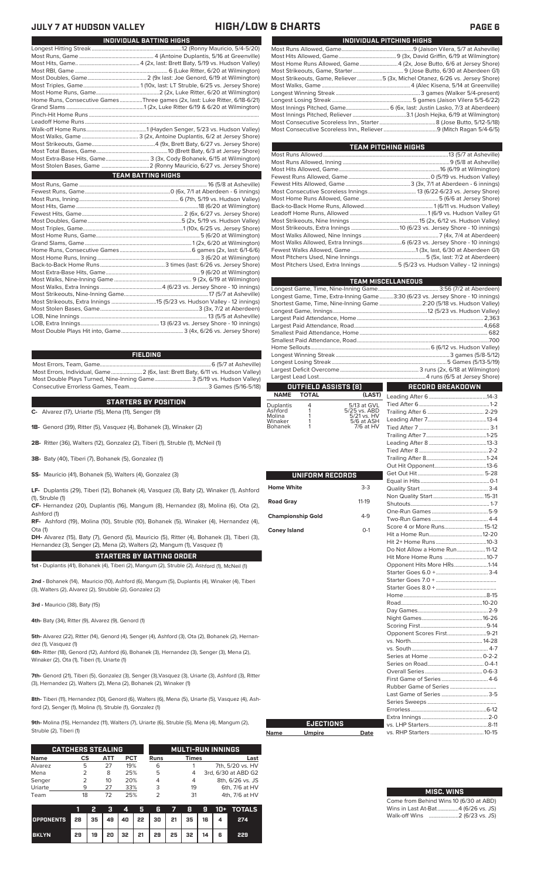## **JULY 7 AT HUDSON VALLEY HIGH/LOW & CHARTS PAGE 6**

| INDIVIDUAL PITCHING HIGHS                                                   |
|-----------------------------------------------------------------------------|
|                                                                             |
|                                                                             |
| Most Home Runs Allowed, Game 4 (2x, Jose Butto, 6/6 at Jersey Shore)        |
|                                                                             |
| Most Strikeouts, Game, Reliever5 (3x, Michel Otanez, 6/26 vs. Jersey Shore) |
|                                                                             |
|                                                                             |
|                                                                             |
| Most Innings Pitched, Game 6 (6x, last: Justin Lasko, 7/3 at Aberdeen)      |
|                                                                             |
|                                                                             |
|                                                                             |
|                                                                             |

| TEAM PITCHING HIGHS                                                       |  |
|---------------------------------------------------------------------------|--|
|                                                                           |  |
|                                                                           |  |
|                                                                           |  |
|                                                                           |  |
|                                                                           |  |
|                                                                           |  |
|                                                                           |  |
|                                                                           |  |
|                                                                           |  |
|                                                                           |  |
|                                                                           |  |
|                                                                           |  |
| Most Walks Allowed, Extra Innings 6 (6/23 vs. Jersey Shore - 10 innings)  |  |
|                                                                           |  |
|                                                                           |  |
| Most Pitchers Used, Extra Innings 5 (5/23 vs. Hudson Valley - 12 innings) |  |
|                                                                           |  |

|                          |                  |                                           | <b>TEAM MISCELLANEOUS</b>                                                      |
|--------------------------|------------------|-------------------------------------------|--------------------------------------------------------------------------------|
|                          |                  |                                           |                                                                                |
|                          |                  |                                           | Longest Game, Time, Extra-Inning Game3:30 (6/23 vs. Jersey Shore - 10 innings) |
|                          |                  |                                           | Shortest Game, Time, Nine-Inning Game  2:20 (5/18 vs. Hudson Valley)           |
|                          |                  |                                           |                                                                                |
|                          |                  |                                           |                                                                                |
|                          |                  |                                           |                                                                                |
|                          |                  |                                           |                                                                                |
|                          |                  |                                           |                                                                                |
|                          |                  |                                           |                                                                                |
|                          |                  |                                           |                                                                                |
|                          |                  |                                           |                                                                                |
|                          |                  |                                           |                                                                                |
|                          |                  | OUTFIELD ASSISTS (8)                      | RECORD BREAKDOWN                                                               |
| <b>NAME</b>              | <b>TOTAL</b>     | (LAST)                                    |                                                                                |
| Duplantis                | 4                | 5/13 at GVL                               |                                                                                |
| Ashford<br>Molina        | 1<br>1           | 5/25 vs. ABD<br>5/21 vs. HV<br>5/6 at ASH |                                                                                |
| Winaker                  | 1<br>1           |                                           |                                                                                |
| Bohanek                  |                  | 7/6 at HV                                 |                                                                                |
|                          |                  |                                           |                                                                                |
|                          |                  |                                           |                                                                                |
|                          |                  |                                           |                                                                                |
|                          |                  |                                           |                                                                                |
|                          |                  |                                           |                                                                                |
|                          | UNIFORM RECORDS  |                                           |                                                                                |
| <b>Home White</b>        |                  | $3-3$                                     |                                                                                |
|                          |                  |                                           |                                                                                |
| <b>Road Gray</b>         |                  | $11-19$                                   |                                                                                |
|                          |                  |                                           |                                                                                |
| <b>Championship Gold</b> |                  | $4-9$                                     |                                                                                |
| <b>Coney Island</b>      |                  | $O-1$                                     | Score 4 or More Runs15-12                                                      |
|                          |                  |                                           |                                                                                |
|                          |                  |                                           |                                                                                |
|                          |                  |                                           | Do Not Allow a Home Run 11-12                                                  |
|                          |                  |                                           | Hit More Home Runs 10-7                                                        |
|                          |                  |                                           | Opponent Hits More HRs1-14                                                     |
|                          |                  |                                           |                                                                                |
|                          |                  |                                           |                                                                                |
|                          |                  |                                           |                                                                                |
|                          |                  |                                           |                                                                                |
|                          |                  |                                           |                                                                                |
|                          |                  |                                           |                                                                                |
|                          |                  |                                           |                                                                                |
|                          |                  |                                           | Opponent Scores First9-21                                                      |
|                          |                  |                                           |                                                                                |
|                          |                  |                                           |                                                                                |
|                          |                  |                                           |                                                                                |
|                          |                  |                                           |                                                                                |
|                          |                  |                                           |                                                                                |
|                          |                  |                                           | First Game of Series 4-6                                                       |
|                          |                  |                                           | Last Game of Series 3-5                                                        |
|                          |                  |                                           |                                                                                |
|                          |                  |                                           |                                                                                |
|                          |                  |                                           |                                                                                |
|                          | <b>EJECTIONS</b> |                                           |                                                                                |
|                          |                  |                                           |                                                                                |

# **Name Umpire Date**

| <b>MISC. WINS</b>                   |
|-------------------------------------|
| $\sim$ from Bobia d Wine 40 $(0.00$ |

| Come from Behind Wins 10 (6/30 at ABD) |  |  |
|----------------------------------------|--|--|
| Wins in Last At-Bat4 (6/26 vs. JS)     |  |  |
| Walk-off Wins 2 (6/23 vs. JS)          |  |  |

vs. RHP Starters ......................................10-15

| INDIVIDUAL BATTING HIGHS                                                    |
|-----------------------------------------------------------------------------|
|                                                                             |
|                                                                             |
|                                                                             |
|                                                                             |
|                                                                             |
|                                                                             |
|                                                                             |
| Home Runs, Consecutive Games Three games (2x, last: Luke Ritter, 6/18-6/21) |
|                                                                             |
|                                                                             |
|                                                                             |
|                                                                             |
|                                                                             |
|                                                                             |
|                                                                             |
| Most Extra-Base Hits, Game 3 (3x, Cody Bohanek, 6/15 at Wilmington)         |
|                                                                             |
| <b>TEAM BATTING HIGHS</b>                                                   |
|                                                                             |
|                                                                             |
|                                                                             |
|                                                                             |
|                                                                             |
|                                                                             |
|                                                                             |
|                                                                             |
|                                                                             |
|                                                                             |
|                                                                             |
|                                                                             |
|                                                                             |
|                                                                             |
|                                                                             |
|                                                                             |
|                                                                             |
|                                                                             |
|                                                                             |

LOB, Extra Innings........................................................13 (6/23 vs. Jersey Shore - 10 innings) Most Double Plays Hit into, Game............................................ 3 (4x, 6/26 vs. Jersey Shore)

### **FIELDING**

Most Errors, Team, Game...............................................................................6 (5/7 at Asheville) Most Errors, Individual, Game......................2 (6x, last: Brett Baty, 6/11 vs. Hudson Valley) Most Double Plays Turned, Nine-Inning Game... Consecutive Errorless Games, Team.

**STARTERS BY POSITION**

**C-** Alvarez (17), Uriarte (15), Mena (11), Senger (9)

**1B-** Genord (39), Ritter (5), Vasquez (4), Bohanek (3), Winaker (2)

**2B-** Ritter (36), Walters (12), Gonzalez (2), Tiberi (1), Struble (1), McNeil (1)

**3B-** Baty (40), Tiberi (7), Bohanek (5), Gonzalez (1)

**SS-** Mauricio (41), Bohanek (5), Walters (4), Gonzalez (3)

**LF-** Duplantis (29), Tiberi (12), Bohanek (4), Vasquez (3), Baty (2), Winaker (1), Ashford (1), Struble (1)

**CF-** Hernandez (20), Duplantis (16), Mangum (8), Hernandez (8), Molina (6), Ota (2),

Ashford (1) **RF-** Ashford (19), Molina (10), Struble (10), Bohanek (5), Winaker (4), Hernandez (4), Ota (1)

**DH-** Alvarez (15), Baty (7), Genord (5), Mauricio (5), Ritter (4), Bohanek (3), Tiberi (3), Hernandez (3), Senger (2), Mena (2), Walters (2), Mangum (1), Vasquez (1)

**STARTERS BY BATTING ORDER**

**1st -** Duplantis (41), Bohanek (4), Tiberi (2), Mangum (2), Struble (2), Ashford (1), McNeil (1)

**2nd -** Bohanek (14), Mauricio (10), Ashford (6), Mangum (5), Duplantis (4), Winaker (4), Tiberi (3), Walters (2), Alvarez (2), Strubble (2), Gonzalez (2)

**3rd -** Mauricio (38), Baty (15)

**4th-** Baty (34), Ritter (9), Alvarez (9), Genord (1)

**5th-** Alvarez (22), Ritter (14), Genord (4), Senger (4), Ashford (3), Ota (2), Bohanek (2), Hernandez (1), Vasquez (1)

**6th-** Ritter (18), Genord (12), Ashford (6), Bohanek (3), Hernandez (3), Senger (3), Mena (2), Winaker (2), Ota (1), Tiberi (1), Uriarte (1)

**7th-** Genord (21), Tiberi (5), Gonzalez (3), Senger (3),Vasquez (3), Uriarte (3), Ashford (3), Ritter (3), Hernandez (2), Walters (2), Mena (2), Bohanek (2), Winaker (1)

**8th-** Tiberi (11), Hernandez (10), Genord (6), Walters (6), Mena (5), Uriarte (5), Vasquez (4), Ashford (2), Senger (1), Molina (1), Struble (1), Gonzalez (1)

**9th-** Molina (15), Hernandez (11), Walters (7), Uriarte (6), Struble (5), Mena (4), Mangum (2), Struble (2), Tiberi (1)

|             | <b>CATCHERS STEALING</b> |     |     | <b>MULTI-RUN INNINGS</b> |              |                     |  |  |
|-------------|--------------------------|-----|-----|--------------------------|--------------|---------------------|--|--|
| <b>Name</b> | СS                       | АТТ | PCT | <b>Runs</b>              | <b>Times</b> | Last                |  |  |
| Alvarez     | 5                        | 27  | 19% | 6                        |              | 7th, 5/20 vs. HV    |  |  |
| Mena        |                          | 8   | 25% | 5                        | 4            | 3rd, 6/30 at ABD G2 |  |  |
| Senger      |                          | 10  | 20% | 4                        | 4            | 8th, 6/26 vs. JS    |  |  |
| Uriarte     | 9                        | 27  | 33% | 3                        | 19           | 6th, 7/6 at HV      |  |  |
| Team        | 18                       | 72  | 25% |                          | 31           | 4th, 7/6 at HV      |  |  |

|                                        | ъ |  |                                                |  |  | 3 4 5 6 7 8 9 10 + TOTALS |
|----------------------------------------|---|--|------------------------------------------------|--|--|---------------------------|
| OPPONENTS 28 35 49 40 22 30 21 35 16 4 |   |  |                                                |  |  | 274                       |
| <b>BKLYN</b>                           |   |  | 29   19   20   32   21   29   25   32   14   6 |  |  | 229                       |

| , 6/11 vs. Hudson Valley) |  |
|---------------------------|--|
| (5/19 vs. Hudson Valley)  |  |
| 3 Games (5/16-5/18)       |  |
|                           |  |
|                           |  |

| UNIFORM RECORDS          |         |
|--------------------------|---------|
| <b>Home White</b>        | $3-3$   |
| <b>Road Gray</b>         | $11-19$ |
| <b>Championship Gold</b> | $4 - 9$ |
| <b>Coney Island</b>      | $O-1$   |
|                          |         |
|                          |         |
|                          |         |
|                          |         |
|                          |         |
|                          |         |
|                          |         |
|                          |         |
|                          |         |
|                          |         |
|                          |         |
|                          |         |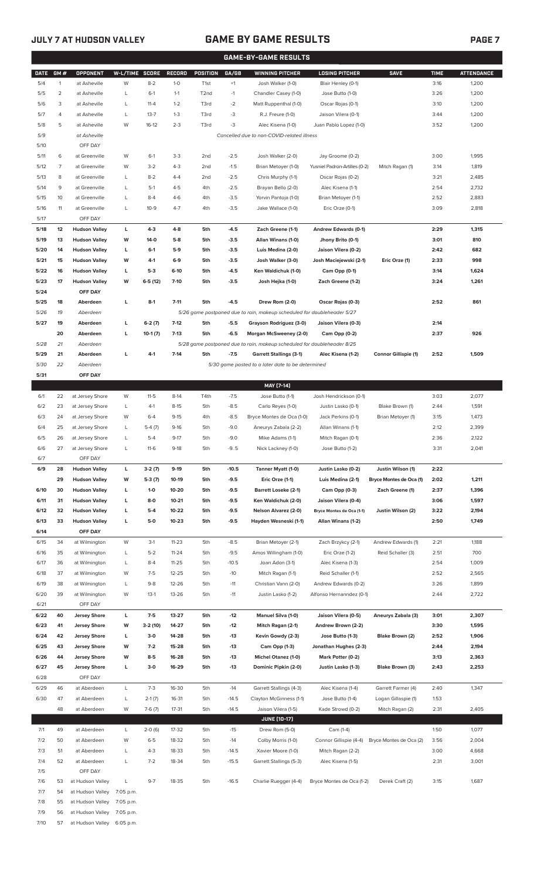# **JULY 7 AT HUDSON VALLEY GAME BY GAME RESULTS PAGE 7**

| <b>GAME-BY-GAME RESULTS</b> |                |                      |                |           |               |                   |         |                                                                         |                               |                         |             |                   |
|-----------------------------|----------------|----------------------|----------------|-----------|---------------|-------------------|---------|-------------------------------------------------------------------------|-------------------------------|-------------------------|-------------|-------------------|
| <b>DATE</b>                 | GM#            | <b>OPPONENT</b>      | W-L/TIME SCORE |           | <b>RECORD</b> | <b>POSITION</b>   | GA/GB   | <b>WINNING PITCHER</b>                                                  | <b>LOSING PITCHER</b>         | <b>SAVE</b>             | <b>TIME</b> | <b>ATTENDANCE</b> |
| 5/4                         | $\mathbf{1}$   | at Asheville         | W              | $8 - 2$   | $1-0$         | T <sub>1st</sub>  | $+1$    | Josh Walker (1-0)                                                       | Blair Henley (0-1)            |                         | 3:16        | 1,200             |
|                             |                |                      |                |           |               |                   |         |                                                                         |                               |                         |             |                   |
| 5/5                         | $\overline{2}$ | at Asheville         | L              | $6-1$     | $1 - 1$       | T <sub>2</sub> nd | $-1$    | Chandler Casey (1-0)                                                    | Jose Butto (1-0)              |                         | 3:26        | 1,200             |
| 5/6                         | 3              | at Asheville         | L              | $11 - 4$  | $1 - 2$       | T3rd              | $-2$    | Matt Ruppenthal (1-0)                                                   | Oscar Rojas (0-1)             |                         | 3:10        | 1,200             |
| 5/7                         | 4              | at Asheville         | L              | $13 - 7$  | $1 - 3$       | T3rd              | $-3$    | R.J. Freure (1-0)                                                       | Jaison Vilera (0-1)           |                         | 3:44        | 1,200             |
| 5/8                         | 5              | at Asheville         | W              | $16-12$   | $2 - 3$       | T3rd              | $-3$    | Alec Kisena (1-0)                                                       | Juan Pablo Lopez (1-0)        |                         | 3:52        | 1,200             |
| 5/9                         |                | at Asheville         |                |           |               |                   |         | Cancelled due to non-COVID-related illness                              |                               |                         |             |                   |
| 5/10                        |                | OFF DAY              |                |           |               |                   |         |                                                                         |                               |                         |             |                   |
| 5/11                        | 6              | at Greenville        | W              | $6-1$     | $3-3$         | 2 <sub>nd</sub>   | $-2.5$  | Josh Walker (2-0)                                                       | Jay Groome (0-2)              |                         | 3:00        | 1,995             |
| 5/12                        | $\overline{7}$ | at Greenville        | W              | $3-2$     | $4 - 3$       | 2 <sub>nd</sub>   | $-1.5$  | Brian Metoyer (1-0)                                                     | Yusniel Padron-Artilles (0-2) | Mitch Ragan (1)         | 3:14        | 1,819             |
| 5/13                        | 8              | at Greenville        | L              | $8 - 2$   | $4 - 4$       | 2 <sub>nd</sub>   | $-2.5$  | Chris Murphy (1-1)                                                      | Oscar Rojas (0-2)             |                         | 3:21        | 2,485             |
|                             |                |                      |                |           |               |                   |         |                                                                         |                               |                         |             |                   |
| 5/14                        | 9              | at Greenville        | L              | $5-1$     | $4 - 5$       | 4th               | $-2.5$  | Brayan Bello (2-0)                                                      | Alec Kisena (1-1)             |                         | 2:54        | 2,732             |
| 5/15                        | 10             | at Greenville        | L              | $8 - 4$   | $4-6$         | 4th               | $-3.5$  | Yorvin Pantoja (1-0)                                                    | Brian Metoyer (1-1)           |                         | 2:52        | 2,883             |
| 5/16                        | 11             | at Greenville        | L              | $10-9$    | $4 - 7$       | 4th               | $-3.5$  | Jake Wallace (1-0)                                                      | Eric Orze (0-1)               |                         | 3:09        | 2,818             |
| 5/17                        |                | OFF DAY              |                |           |               |                   |         |                                                                         |                               |                         |             |                   |
| 5/18                        | 12             | <b>Hudson Valley</b> | L              | $4 - 3$   | $4 - 8$       | 5th               | $-4.5$  | Zach Greene (1-1)                                                       | Andrew Edwards (0-1)          |                         | 2:29        | 1,315             |
| 5/19                        | 13             | <b>Hudson Valley</b> | W              | 14-0      | $5-8$         | 5th               | $-3.5$  | Allan Winans (1-0)                                                      | Jhony Brito (0-1)             |                         | 3:01        | 810               |
| 5/20                        | 14             | <b>Hudson Valley</b> | L              | $6-1$     | 5-9           | 5th               | $-3.5$  | Luis Medina (2-0)                                                       | Jaison Vilera (0-2)           |                         | 2:42        | 682               |
| 5/21                        | 15             | <b>Hudson Valley</b> | w              | $4-1$     | $6-9$         | 5th               | $-3.5$  | Josh Walker (3-0)                                                       | Josh Maciejewski (2-1)        | Eric Orze (1)           | 2:33        | 998               |
|                             |                |                      |                |           |               |                   |         |                                                                         |                               |                         |             |                   |
| 5/22                        | 16             | <b>Hudson Valley</b> | L              | $5-3$     | $6-10$        | 5th               | $-4.5$  | Ken Waldichuk (1-0)                                                     | Cam Opp (0-1)                 |                         | 3:14        | 1,624             |
| 5/23                        | 17             | <b>Hudson Valley</b> | W              | $6-5(12)$ | $7-10$        | 5th               | $-3.5$  | Josh Hejka (1-0)                                                        | Zach Greene (1-2)             |                         | 3:24        | 1,261             |
| 5/24                        |                | OFF DAY              |                |           |               |                   |         |                                                                         |                               |                         |             |                   |
| 5/25                        | 18             | Aberdeen             | г              | $8-1$     | $7 - 11$      | 5th               | -4.5    | Drew Rom (2-0)                                                          | Oscar Rojas (0-3)             |                         | 2:52        | 861               |
| 5/26                        | 19             | Aberdeen             |                |           |               |                   |         | 5/26 game postponed due to rain, makeup scheduled for doubleheader 5/27 |                               |                         |             |                   |
| 5/27                        | 19             | Aberdeen             | L              | $6-2(7)$  | $7-12$        | 5th               | $-5.5$  | Grayson Rodriguez (3-0)                                                 | Jaison Vilera (0-3)           |                         | 2:14        |                   |
|                             | 20             | Aberdeen             | г              | $10-1(7)$ | $7-13$        | 5th               | $-6.5$  | Morgan McSweeney (2-0)                                                  | Cam Opp (0-2)                 |                         | 2:37        | 926               |
| 5/28                        | 21             | Aberdeen             |                |           |               |                   |         | 5/28 game postponed due to rain, makeup scheduled for doubleheader 8/25 |                               |                         |             |                   |
| 5/29                        | 21             | Aberdeen             | г              | $4-1$     | $7-14$        | 5th               | $-7.5$  | <b>Garrett Stallings (3-1)</b>                                          | Alec Kisena (1-2)             | Connor Gillispie (1)    | 2:52        | 1,509             |
|                             |                |                      |                |           |               |                   |         |                                                                         |                               |                         |             |                   |
| 5/30                        | 22             | Aberdeen             |                |           |               |                   |         | 5/30 game posted to a later date to be determined                       |                               |                         |             |                   |
| 5/31                        |                | OFF DAY              |                |           |               |                   |         |                                                                         |                               |                         |             |                   |
|                             |                |                      |                |           |               |                   |         | MAY [7-14]                                                              |                               |                         |             |                   |
| 6/1                         | 22             | at Jersey Shore      | W              | $11 - 5$  | $8-14$        | T4th              | $-7.5$  | Jose Butto (1-1)                                                        | Josh Hendrickson (0-1)        |                         | 3:03        | 2,077             |
| 6/2                         | 23             | at Jersey Shore      | L              | $4-1$     | $8 - 15$      | 5th               | $-8.5$  | Carlo Reyes (1-0)                                                       | Justin Lasko (0-1)            | Blake Brown (1)         | 2:44        | 1,591             |
| 6/3                         | 24             | at Jersey Shore      | W              | $6 - 4$   | $9 - 15$      | 4th               | $-8.5$  | Bryce Montes de Oca (1-0)                                               | Jack Perkins (0-1)            | Brian Metoyer (1)       | 3:15        | 1,473             |
| 6/4                         | 25             | at Jersey Shore      | L              | $5-4(7)$  | $9-16$        | 5th               | $-9.0$  | Aneurys Zabala (2-2)                                                    | Allan Winans (1-1)            |                         | 2:12        | 2,399             |
| 6/5                         | 26             | at Jersey Shore      | L              | $5 - 4$   | $9 - 17$      | 5th               | $-9.0$  | Mike Adams (1-1)                                                        | Mitch Ragan (0-1)             |                         | 2:36        | 2,122             |
| 6/6                         | 27             | at Jersey Shore      | L              | $11-6$    | $9-18$        | 5th               | $-9.5$  | Nick Lackney (1-0)                                                      | Jose Butto (1-2)              |                         | 3:31        | 2,041             |
| 6/7                         |                | OFF DAY              |                |           |               |                   |         |                                                                         |                               |                         |             |                   |
|                             |                |                      |                |           |               |                   |         |                                                                         |                               |                         |             |                   |
| 6/9                         | 28             | <b>Hudson Valley</b> | L              | $3-2(7)$  | $9-19$        | 5th               | $-10.5$ | Tanner Myatt (1-0)                                                      | Justin Lasko (0-2)            | Justin Wilson (1)       | 2:22        |                   |
|                             | 29             | <b>Hudson Valley</b> | W              | $5-3(7)$  | 10-19         | 5th               | $-9.5$  | Eric Orze (1-1)                                                         | Luis Medina (2-1)             | Bryce Montes de Oca (1) | 2:02        | 1,211             |
| 6/10                        | 30             | <b>Hudson Valley</b> | L              | $1 - 0$   | 10-20         | 5th               | $-9.5$  | <b>Barrett Loseke (2-1)</b>                                             | Cam Opp (0-3)                 | Zach Greene (1)         | 2:37        | 1,396             |
| 6/11                        | 31             | <b>Hudson Valley</b> | г              | $8-0$     | $10 - 21$     | 5th               | $-9.5$  | Ken Waldichuk (2-0)                                                     | Jaison Vilera (0-4)           |                         | 3:06        | 1,597             |
| 6/12                        | 32             | <b>Hudson Valley</b> | г              | $5-4$     | 10-22         | 5th               | $-9.5$  | <b>Nelson Alvarez (2-0)</b>                                             | Bryce Montes de Oca (1-1)     | Justin Wilson (2)       | 3:22        | 2,194             |
| 6/13                        | 33             | <b>Hudson Valley</b> | г              | 5-0       | $10 - 23$     | 5th               | $-9.5$  | Hayden Wesneski (1-1)                                                   | Allan Winans (1-2)            |                         | 2:50        | 1,749             |
| 6/14                        |                | OFF DAY              |                |           |               |                   |         |                                                                         |                               |                         |             |                   |
| 6/15                        | 34             | at Wilmington        | W              | $3-1$     | $11 - 23$     | 5th               | $-8.5$  | Brian Metoyer (2-1)                                                     | Zach Brzykcy (2-1)            | Andrew Edwards (1)      | 2:21        | 1,188             |
| 6/16                        | 35             | at Wilmington        | L              | $5 - 2$   | $11 - 24$     | 5th               | $-9.5$  | Amos Willingham (1-0)                                                   | Eric Orze (1-2)               | Reid Schaller (3)       | 2:51        | 700               |
|                             |                |                      |                | $8 - 4$   | $11 - 25$     |                   | $-10.5$ |                                                                         | Alec Kisena (1-3)             |                         | 2:54        | 1,009             |
| 6/17                        | 36             | at Wilmington        | L              |           |               | 5th               |         | Joan Adon (3-1)                                                         |                               |                         |             |                   |
| 6/18                        | 37             | at Wilmington        | W              | $7 - 5$   | $12 - 25$     | 5th               | $-10$   | Mitch Ragan (1-1)                                                       | Reid Schaller (1-1)           |                         | 2:52        | 2,565             |
| 6/19                        | 38             | at Wilmington        | L              | $9 - 8$   | $12 - 26$     | 5th               | $-11$   | Christian Vann (2-0)                                                    | Andrew Edwards (0-2)          |                         | 3:26        | 1,899             |
| 6/20                        | 39             | at Wilmington        | W              | $13-1$    | $13 - 26$     | 5th               | $-11$   | Justin Lasko (1-2)                                                      | Alfonso Hernanndez (0-1)      |                         | 2:44        | 2,722             |
| 6/21                        |                | OFF DAY              |                |           |               |                   |         |                                                                         |                               |                         |             |                   |
| 6/22                        | 40             | <b>Jersey Shore</b>  | L              | $7-5$     | 13-27         | 5th               | $-12$   | Manuel Silva (1-0)                                                      | Jaison Vilera (0-5)           | Aneurys Zabala (3)      | 3:01        | 2,307             |
| 6/23                        | 41             | <b>Jersey Shore</b>  | W              | 3-2 (10)  | 14-27         | 5th               | $-12$   | Mitch Ragan (2-1)                                                       | Andrew Brown (2-2)            |                         | 3:30        | 1,595             |
| 6/24                        | 42             | <b>Jersey Shore</b>  | L              | $3-0$     | 14-28         | 5th               | $-13$   | Kevin Gowdy (2-3)                                                       | Jose Butto (1-3)              | Blake Brown (2)         | 2:52        | 1,906             |
| 6/25                        | 43             | <b>Jersey Shore</b>  | W              | $7-2$     | 15-28         | 5th               | $-13$   | Cam Opp (1-3)                                                           | Jonathan Hughes (2-3)         |                         | 2:44        | 2,194             |
| 6/26                        | 44             | <b>Jersey Shore</b>  | W              | $8-5$     | 16-28         | 5th               | $-13$   | <b>Michel Otanez (1-0)</b>                                              | Mark Potter (0-2)             |                         | 3:13        | 2,363             |
| 6/27                        | 45             |                      |                | $3-0$     | 16-29         | 5th               | $-13$   | Dominic Pipkin (2-0)                                                    | Justin Lasko (1-3)            | Blake Brown (3)         | 2:43        |                   |
|                             |                | <b>Jersey Shore</b>  | г              |           |               |                   |         |                                                                         |                               |                         |             | 2,253             |
| 6/28                        |                | OFF DAY              |                |           |               |                   |         |                                                                         |                               |                         |             |                   |
| 6/29                        | 46             | at Aberdeen          | L              | $7-3$     | 16-30         | 5th               | $-14$   | Garrett Stallings (4-3)                                                 | Alec Kisena (1-4)             | Garrett Farmer (4)      | 2:40        | 1,347             |
| 6/30                        | 47             | at Aberdeen          | L              | $2-1(7)$  | 16-31         | 5th               | $-14.5$ | Clayton McGinness (1-1)                                                 | Jose Butto (1-4)              | Logan Gillaspie (1)     | 1:53        |                   |
|                             | 48             | at Aberdeen          | W              | $7-6(7)$  | $17 - 31$     | 5th               | $-14.5$ | Jaison Vilera (1-5)                                                     | Kade Strowd (0-2)             | Mitch Ragan (2)         | 2:31        | 2,405             |
|                             |                |                      |                |           |               |                   |         | <b>JUNE [10-17]</b>                                                     |                               |                         |             |                   |
| 7/1                         | 49             | at Aberdeen          | L              | $2-0(6)$  | 17-32         | 5th               | $-15$   | Drew Rom (5-0)                                                          | Cam (1-4)                     |                         | 1:50        | 1,077             |
| 7/2                         | 50             | at Aberdeen          | W              | $6 - 5$   | 18-32         | 5th               | $-14$   | Colby Morris (1-0)                                                      | Connor Gillispie (4-4)        | Bryce Montes de Oca (2) | 3:56        | 2,004             |
| 7/3                         | 51             | at Aberdeen          | L              | $4 - 3$   | 18-33         | 5th               | $-14.5$ | Xavier Moore (1-0)                                                      | Mitch Ragan (2-2)             |                         | 3:00        | 4,668             |
|                             | 52             | at Aberdeen          | L              | $7 - 2$   | 18-34         | 5th               | $-15.5$ |                                                                         | Alec Kisena (1-5)             |                         |             |                   |
| 7/4                         |                |                      |                |           |               |                   |         | Garrett Stallings (5-3)                                                 |                               |                         | 2:31        | 3,001             |
| 7/5                         |                | OFF DAY              |                |           |               |                   |         |                                                                         |                               |                         |             |                   |
| 7/6                         | 53             | at Hudson Valley     | L              | $9 - 7$   | 18-35         | 5th               | $-16.5$ | Charlie Ruegger (4-4)                                                   | Bryce Montes de Oca (1-2)     | Derek Craft (2)         | 3:15        | 1,687             |
| 7/7                         | 54             | at Hudson Valley     | 7:05 p.m.      |           |               |                   |         |                                                                         |                               |                         |             |                   |
| 7/8                         | 55             | at Hudson Valley     | 7:05 p.m.      |           |               |                   |         |                                                                         |                               |                         |             |                   |
| 7/9                         | 56             | at Hudson Valley     | 7:05 p.m.      |           |               |                   |         |                                                                         |                               |                         |             |                   |
| 7/10                        | 57             | at Hudson Valley     | 6:05 p.m.      |           |               |                   |         |                                                                         |                               |                         |             |                   |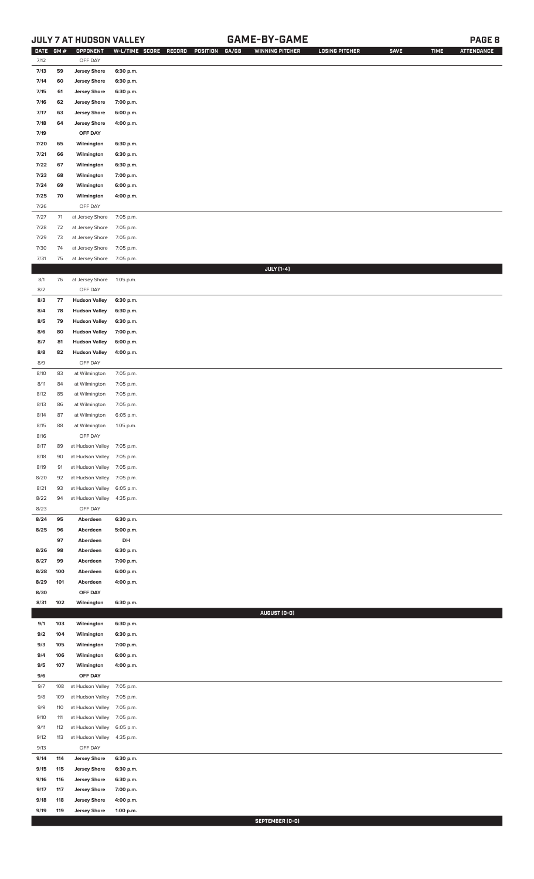## **JULY 7 AT HUDSON VALLEY GAME-BY-GAME PAGE 8**

| <b>DATE</b>  | GM#        | OPPONENT                              |                        | W-L/TIME SCORE RECORD | POSITION | GA/GB | <b>WINNING PITCHER</b> | <b>LOSING PITCHER</b> | <b>SAVE</b> | <b>TIME</b> | <b>ATTENDANCE</b> |
|--------------|------------|---------------------------------------|------------------------|-----------------------|----------|-------|------------------------|-----------------------|-------------|-------------|-------------------|
| 7/12         |            | OFF DAY                               |                        |                       |          |       |                        |                       |             |             |                   |
| 7/13         | 59         | <b>Jersey Shore</b>                   | 6:30 p.m.              |                       |          |       |                        |                       |             |             |                   |
| 7/14         | 60         | <b>Jersey Shore</b>                   | 6:30 p.m.              |                       |          |       |                        |                       |             |             |                   |
| 7/15         | 61         | <b>Jersey Shore</b>                   | 6:30 p.m.              |                       |          |       |                        |                       |             |             |                   |
| 7/16         | 62         | <b>Jersey Shore</b>                   | 7:00 p.m.              |                       |          |       |                        |                       |             |             |                   |
| 7/17         | 63         | <b>Jersey Shore</b>                   | 6:00 p.m.              |                       |          |       |                        |                       |             |             |                   |
| 7/18         | 64         | <b>Jersey Shore</b>                   | 4:00 p.m.              |                       |          |       |                        |                       |             |             |                   |
| 7/19         |            | OFF DAY                               |                        |                       |          |       |                        |                       |             |             |                   |
| 7/20         | 65         | Wilmington                            | 6:30 p.m.              |                       |          |       |                        |                       |             |             |                   |
| 7/21         | 66         | Wilmington                            | 6:30 p.m.              |                       |          |       |                        |                       |             |             |                   |
| 7/22<br>7/23 | 67<br>68   | Wilmington<br>Wilmington              | 6:30 p.m.<br>7:00 p.m. |                       |          |       |                        |                       |             |             |                   |
| 7/24         | 69         | Wilmington                            | 6:00 p.m.              |                       |          |       |                        |                       |             |             |                   |
| 7/25         | 70         | Wilmington                            | 4:00 p.m.              |                       |          |       |                        |                       |             |             |                   |
| 7/26         |            | OFF DAY                               |                        |                       |          |       |                        |                       |             |             |                   |
| 7/27         | 71         | at Jersey Shore                       | 7:05 p.m.              |                       |          |       |                        |                       |             |             |                   |
| 7/28         | 72         | at Jersey Shore                       | 7:05 p.m.              |                       |          |       |                        |                       |             |             |                   |
| 7/29         | 73         | at Jersey Shore                       | 7:05 p.m.              |                       |          |       |                        |                       |             |             |                   |
| 7/30         | 74         | at Jersey Shore                       | 7:05 p.m.              |                       |          |       |                        |                       |             |             |                   |
| 7/31         | 75         | at Jersey Shore                       | 7:05 p.m.              |                       |          |       |                        |                       |             |             |                   |
|              |            |                                       |                        |                       |          |       | <b>JULY</b> [1-4]      |                       |             |             |                   |
| 8/1          | 76         | at Jersey Shore                       | 1:05 p.m.              |                       |          |       |                        |                       |             |             |                   |
| 8/2          |            | OFF DAY                               |                        |                       |          |       |                        |                       |             |             |                   |
| 8/3          | 77         | <b>Hudson Valley</b>                  | 6:30 p.m.              |                       |          |       |                        |                       |             |             |                   |
| 8/4          | 78         | <b>Hudson Valley</b>                  | 6:30 p.m.              |                       |          |       |                        |                       |             |             |                   |
| 8/5          | 79         | <b>Hudson Valley</b>                  | 6:30 p.m.              |                       |          |       |                        |                       |             |             |                   |
| 8/6          | 80         | <b>Hudson Valley</b>                  | 7:00 p.m.              |                       |          |       |                        |                       |             |             |                   |
| 8/7          | 81         | <b>Hudson Valley</b>                  | 6:00 p.m.              |                       |          |       |                        |                       |             |             |                   |
| 8/8          | 82         | <b>Hudson Valley</b>                  | 4:00 p.m.              |                       |          |       |                        |                       |             |             |                   |
| 8/9          |            | OFF DAY                               |                        |                       |          |       |                        |                       |             |             |                   |
| 8/10         | 83         | at Wilmington                         | 7:05 p.m.              |                       |          |       |                        |                       |             |             |                   |
| 8/11         | 84         | at Wilmington                         | 7:05 p.m.              |                       |          |       |                        |                       |             |             |                   |
| 8/12         | 85         | at Wilmington                         | 7:05 p.m.              |                       |          |       |                        |                       |             |             |                   |
| 8/13         | 86         | at Wilmington                         | 7:05 p.m.              |                       |          |       |                        |                       |             |             |                   |
| 8/14         | 87         | at Wilmington                         | 6:05 p.m.              |                       |          |       |                        |                       |             |             |                   |
| 8/15         | 88         | at Wilmington                         | 1:05 p.m.              |                       |          |       |                        |                       |             |             |                   |
| 8/16<br>8/17 |            | OFF DAY<br>at Hudson Valley 7:05 p.m. |                        |                       |          |       |                        |                       |             |             |                   |
| 8/18         | 89<br>90   | at Hudson Valley 7:05 p.m.            |                        |                       |          |       |                        |                       |             |             |                   |
| 8/19         | 91         | at Hudson Valley                      | 7:05 p.m.              |                       |          |       |                        |                       |             |             |                   |
| 8/20         | 92         | at Hudson Valley                      | 7:05 p.m.              |                       |          |       |                        |                       |             |             |                   |
| 8/21         | 93         | at Hudson Valley                      | 6:05 p.m.              |                       |          |       |                        |                       |             |             |                   |
| 8/22         | 94         | at Hudson Valley                      | 4:35 p.m.              |                       |          |       |                        |                       |             |             |                   |
| 8/23         |            | OFF DAY                               |                        |                       |          |       |                        |                       |             |             |                   |
| 8/24         | 95         | Aberdeen                              | 6:30 p.m.              |                       |          |       |                        |                       |             |             |                   |
| 8/25         | 96         | Aberdeen                              | 5:00 p.m.              |                       |          |       |                        |                       |             |             |                   |
|              | 97         | Aberdeen                              | DH                     |                       |          |       |                        |                       |             |             |                   |
| 8/26         | 98         | Aberdeen                              | 6:30 p.m.              |                       |          |       |                        |                       |             |             |                   |
| 8/27         | 99         | Aberdeen                              | 7:00 p.m.              |                       |          |       |                        |                       |             |             |                   |
| 8/28         | 100        | Aberdeen                              | 6:00 p.m.              |                       |          |       |                        |                       |             |             |                   |
| 8/29         | 101        | Aberdeen                              | 4:00 p.m.              |                       |          |       |                        |                       |             |             |                   |
| 8/30         |            | OFF DAY                               |                        |                       |          |       |                        |                       |             |             |                   |
| 8/31         | 102        | Wilmington                            | 6:30 p.m.              |                       |          |       |                        |                       |             |             |                   |
|              |            |                                       |                        |                       |          |       | AUGUST (0-0)           |                       |             |             |                   |
| 9/1          | 103        | Wilmington                            | 6:30 p.m.              |                       |          |       |                        |                       |             |             |                   |
| 9/2<br>9/3   | 104<br>105 | Wilmington<br>Wilmington              | 6:30 p.m.<br>7:00 p.m. |                       |          |       |                        |                       |             |             |                   |
| 9/4          | 106        | Wilmington                            | 6:00 p.m.              |                       |          |       |                        |                       |             |             |                   |
| 9/5          | 107        | Wilmington                            | 4:00 p.m.              |                       |          |       |                        |                       |             |             |                   |
| 9/6          |            | OFF DAY                               |                        |                       |          |       |                        |                       |             |             |                   |
| 9/7          | 108        | at Hudson Valley                      | 7:05 p.m.              |                       |          |       |                        |                       |             |             |                   |
| 9/8          | 109        | at Hudson Valley                      | 7:05 p.m.              |                       |          |       |                        |                       |             |             |                   |
| 9/9          | 110        | at Hudson Valley                      | 7:05 p.m.              |                       |          |       |                        |                       |             |             |                   |
| 9/10         | 111        | at Hudson Valley                      | 7:05 p.m.              |                       |          |       |                        |                       |             |             |                   |
| 9/11         | 112        | at Hudson Valley                      | 6:05 p.m.              |                       |          |       |                        |                       |             |             |                   |
| 9/12         | 113        | at Hudson Valley                      | 4:35 p.m.              |                       |          |       |                        |                       |             |             |                   |
| 9/13         |            | OFF DAY                               |                        |                       |          |       |                        |                       |             |             |                   |
| 9/14         | 114        | <b>Jersey Shore</b>                   | 6:30 p.m.              |                       |          |       |                        |                       |             |             |                   |
| 9/15         | 115        | <b>Jersey Shore</b>                   | 6:30 p.m.              |                       |          |       |                        |                       |             |             |                   |
| 9/16         | 116        | <b>Jersey Shore</b>                   | 6:30 p.m.              |                       |          |       |                        |                       |             |             |                   |
| 9/17         | 117        | <b>Jersey Shore</b>                   | 7:00 p.m.              |                       |          |       |                        |                       |             |             |                   |
| 9/18         | 118        | <b>Jersey Shore</b>                   | 4:00 p.m.              |                       |          |       |                        |                       |             |             |                   |
| 9/19         | 119        | <b>Jersey Shore</b>                   | 1:00 p.m.              |                       |          |       |                        |                       |             |             |                   |

**SEPTEMBER (0-0)**